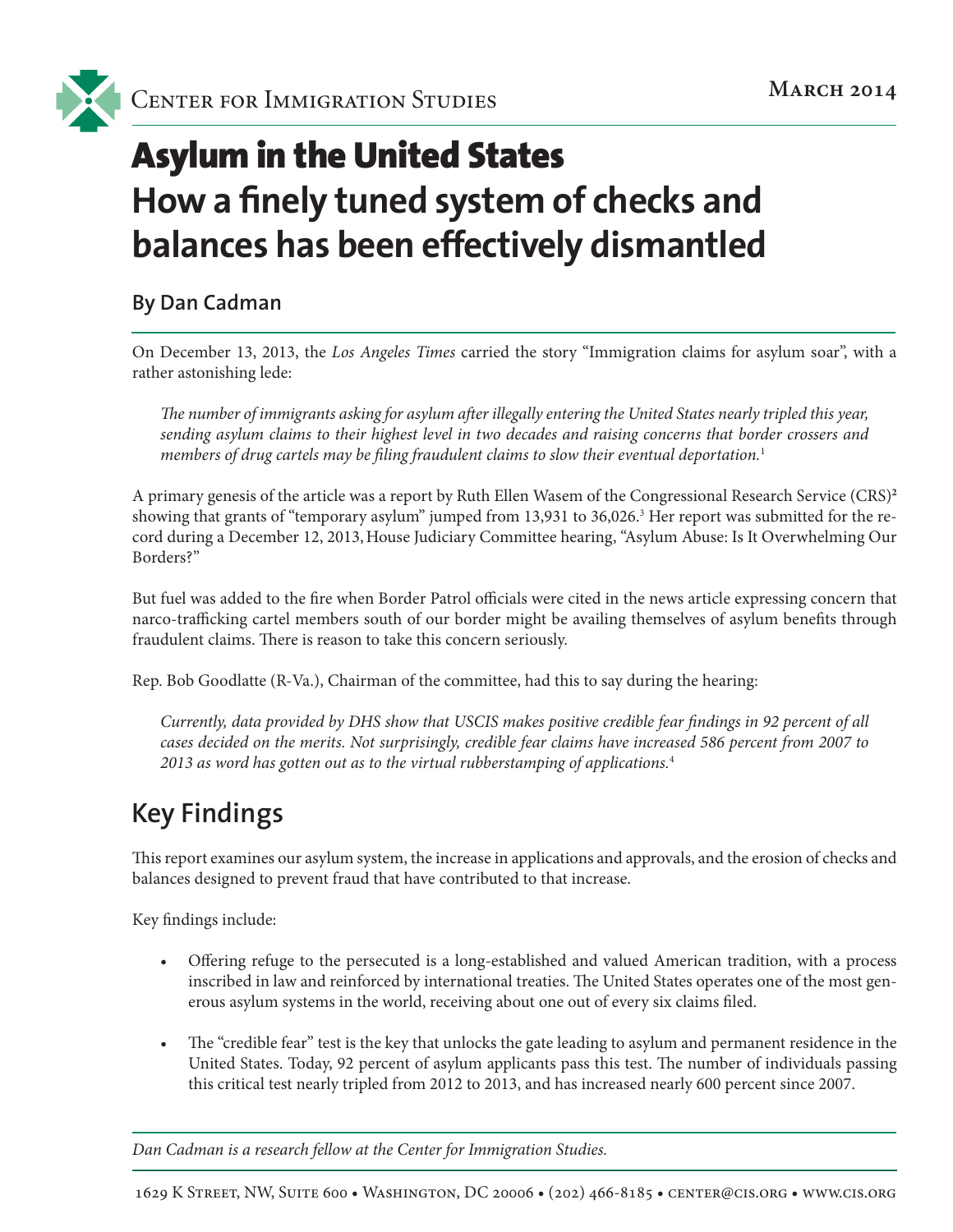

# Asylum in the United States **How a finely tuned system of checks and balances has been effectively dismantled**

**By Dan Cadman**

On December 13, 2013, the *Los Angeles Times* carried the story "Immigration claims for asylum soar", with a rather astonishing lede:

*The number of immigrants asking for asylum after illegally entering the United States nearly tripled this year, sending asylum claims to their highest level in two decades and raising concerns that border crossers and members of drug cartels may be filing fraudulent claims to slow their eventual deportation.*<sup>1</sup>

A primary genesis of the article was a report by Ruth Ellen Wasem of the Congressional Research Service (CRS)**<sup>2</sup>** showing that grants of "temporary asylum" jumped from 13,931 to 36,026.<sup>3</sup> Her report was submitted for the record during a December 12, 2013, House Judiciary Committee hearing, "Asylum Abuse: Is It Overwhelming Our Borders?"

But fuel was added to the fire when Border Patrol officials were cited in the news article expressing concern that narco-trafficking cartel members south of our border might be availing themselves of asylum benefits through fraudulent claims. There is reason to take this concern seriously.

Rep. Bob Goodlatte (R-Va.), Chairman of the committee, had this to say during the hearing:

*Currently, data provided by DHS show that USCIS makes positive credible fear findings in 92 percent of all cases decided on the merits. Not surprisingly, credible fear claims have increased 586 percent from 2007 to 2013 as word has gotten out as to the virtual rubberstamping of applications.*<sup>4</sup>

## **Key Findings**

This report examines our asylum system, the increase in applications and approvals, and the erosion of checks and balances designed to prevent fraud that have contributed to that increase.

Key findings include:

- Offering refuge to the persecuted is a long-established and valued American tradition, with a process inscribed in law and reinforced by international treaties. The United States operates one of the most generous asylum systems in the world, receiving about one out of every six claims filed.
- The "credible fear" test is the key that unlocks the gate leading to asylum and permanent residence in the United States. Today, 92 percent of asylum applicants pass this test. The number of individuals passing this critical test nearly tripled from 2012 to 2013, and has increased nearly 600 percent since 2007.

*Dan Cadman is a research fellow at the Center for Immigration Studies.*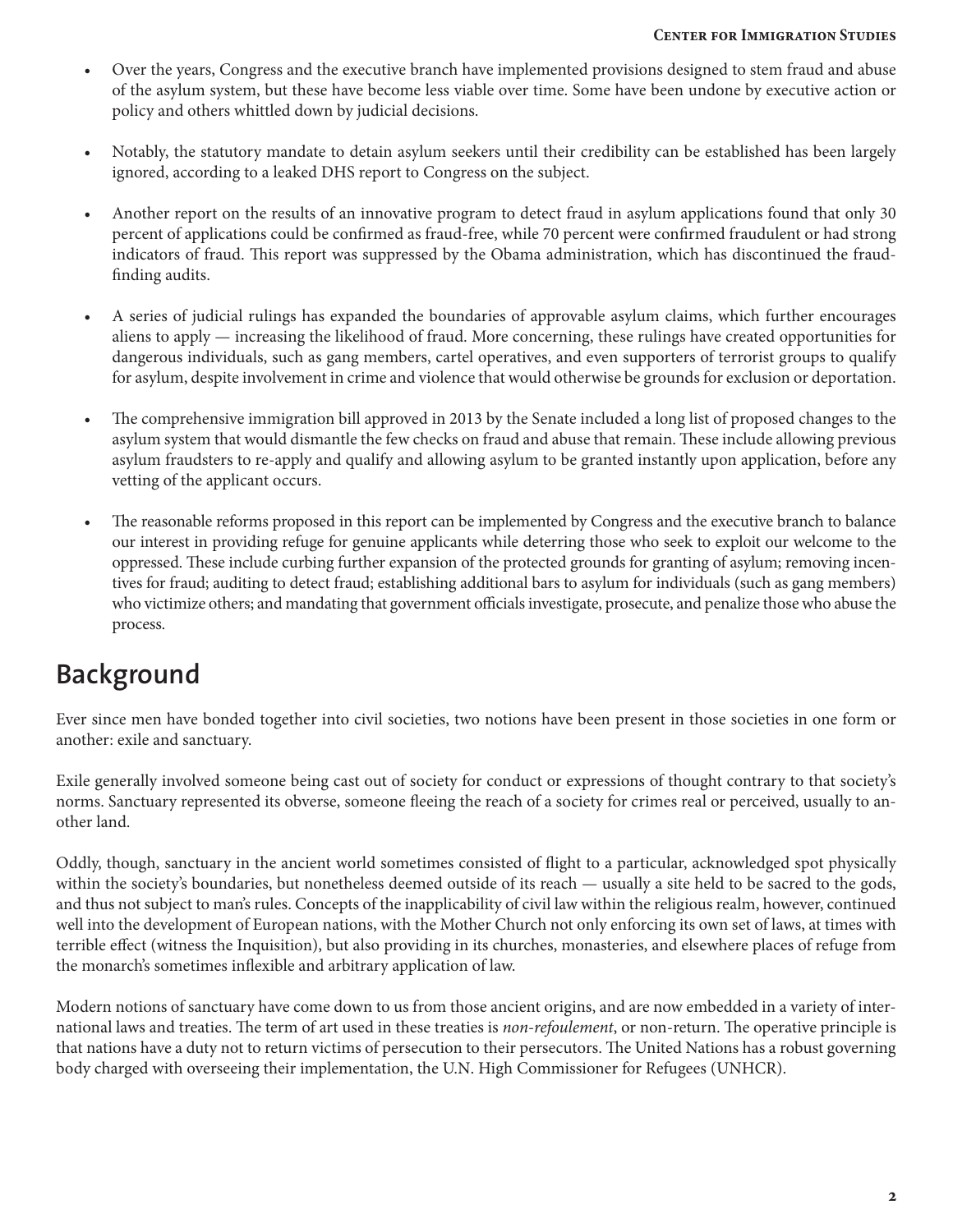- Over the years, Congress and the executive branch have implemented provisions designed to stem fraud and abuse of the asylum system, but these have become less viable over time. Some have been undone by executive action or policy and others whittled down by judicial decisions.
- Notably, the statutory mandate to detain asylum seekers until their credibility can be established has been largely ignored, according to a leaked DHS report to Congress on the subject.
- Another report on the results of an innovative program to detect fraud in asylum applications found that only 30 percent of applications could be confirmed as fraud-free, while 70 percent were confirmed fraudulent or had strong indicators of fraud. This report was suppressed by the Obama administration, which has discontinued the fraudfinding audits.
- A series of judicial rulings has expanded the boundaries of approvable asylum claims, which further encourages aliens to apply — increasing the likelihood of fraud. More concerning, these rulings have created opportunities for dangerous individuals, such as gang members, cartel operatives, and even supporters of terrorist groups to qualify for asylum, despite involvement in crime and violence that would otherwise be grounds for exclusion or deportation.
- The comprehensive immigration bill approved in 2013 by the Senate included a long list of proposed changes to the asylum system that would dismantle the few checks on fraud and abuse that remain. These include allowing previous asylum fraudsters to re-apply and qualify and allowing asylum to be granted instantly upon application, before any vetting of the applicant occurs.
- The reasonable reforms proposed in this report can be implemented by Congress and the executive branch to balance our interest in providing refuge for genuine applicants while deterring those who seek to exploit our welcome to the oppressed. These include curbing further expansion of the protected grounds for granting of asylum; removing incentives for fraud; auditing to detect fraud; establishing additional bars to asylum for individuals (such as gang members) who victimize others; and mandating that government officials investigate, prosecute, and penalize those who abuse the process.

## **Background**

Ever since men have bonded together into civil societies, two notions have been present in those societies in one form or another: exile and sanctuary.

Exile generally involved someone being cast out of society for conduct or expressions of thought contrary to that society's norms. Sanctuary represented its obverse, someone fleeing the reach of a society for crimes real or perceived, usually to another land.

Oddly, though, sanctuary in the ancient world sometimes consisted of flight to a particular, acknowledged spot physically within the society's boundaries, but nonetheless deemed outside of its reach — usually a site held to be sacred to the gods, and thus not subject to man's rules. Concepts of the inapplicability of civil law within the religious realm, however, continued well into the development of European nations, with the Mother Church not only enforcing its own set of laws, at times with terrible effect (witness the Inquisition), but also providing in its churches, monasteries, and elsewhere places of refuge from the monarch's sometimes inflexible and arbitrary application of law.

Modern notions of sanctuary have come down to us from those ancient origins, and are now embedded in a variety of international laws and treaties. The term of art used in these treaties is *non-refoulement*, or non-return. The operative principle is that nations have a duty not to return victims of persecution to their persecutors. The United Nations has a robust governing body charged with overseeing their implementation, the U.N. High Commissioner for Refugees (UNHCR).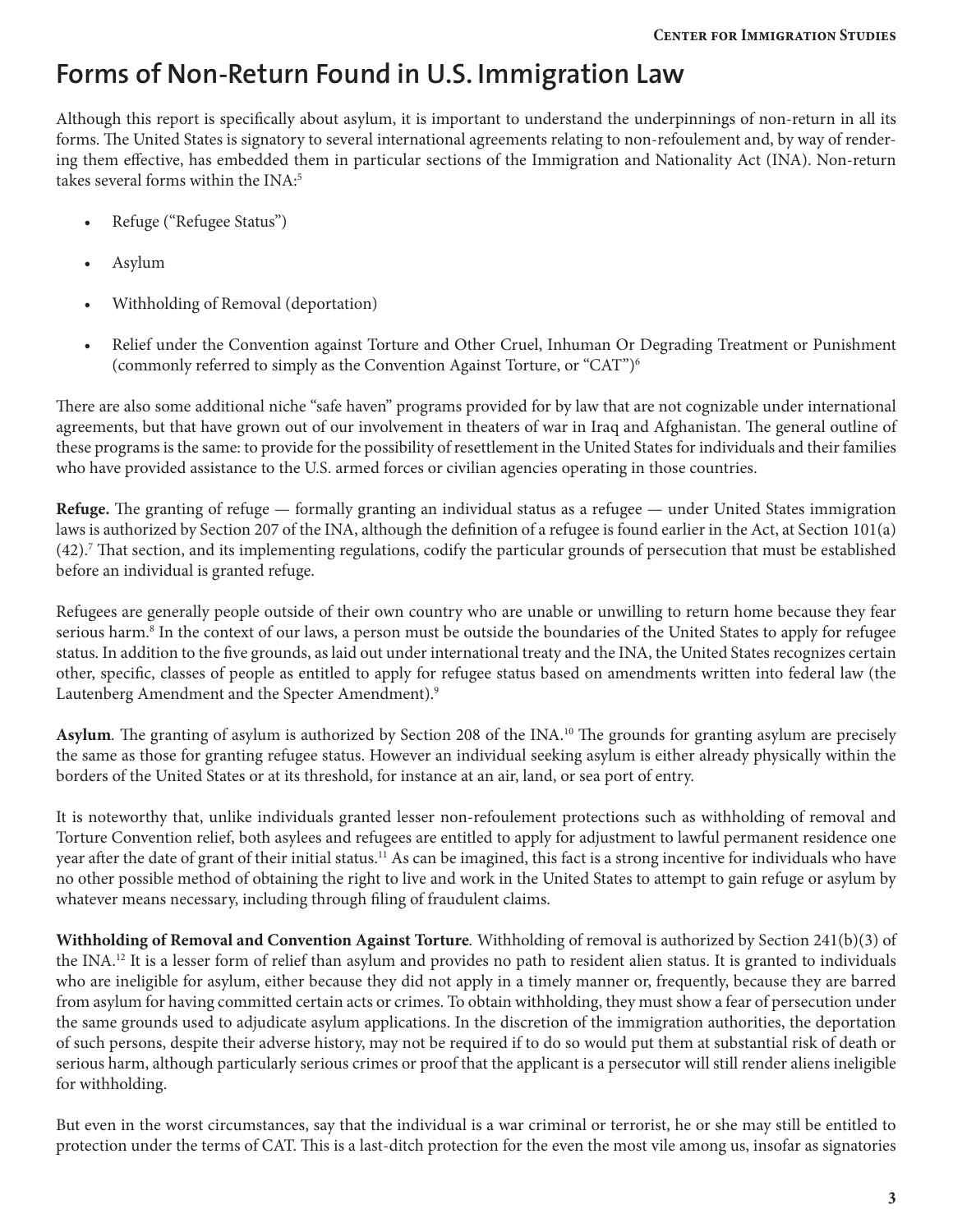## **Forms of Non-Return Found in U.S. Immigration Law**

Although this report is specifically about asylum, it is important to understand the underpinnings of non-return in all its forms. The United States is signatory to several international agreements relating to non-refoulement and, by way of rendering them effective, has embedded them in particular sections of the Immigration and Nationality Act (INA). Non-return takes several forms within the INA:<sup>5</sup>

- Refuge ("Refugee Status")
- Asylum
- Withholding of Removal (deportation)
- Relief under the Convention against Torture and Other Cruel, Inhuman Or Degrading Treatment or Punishment (commonly referred to simply as the Convention Against Torture, or "CAT")6

There are also some additional niche "safe haven" programs provided for by law that are not cognizable under international agreements, but that have grown out of our involvement in theaters of war in Iraq and Afghanistan. The general outline of these programs is the same: to provide for the possibility of resettlement in the United States for individuals and their families who have provided assistance to the U.S. armed forces or civilian agencies operating in those countries.

**Refuge.** The granting of refuge — formally granting an individual status as a refugee — under United States immigration laws is authorized by Section 207 of the INA, although the definition of a refugee is found earlier in the Act, at Section 101(a) (42).7 That section, and its implementing regulations, codify the particular grounds of persecution that must be established before an individual is granted refuge.

Refugees are generally people outside of their own country who are unable or unwilling to return home because they fear serious harm.8 In the context of our laws, a person must be outside the boundaries of the United States to apply for refugee status. In addition to the five grounds, as laid out under international treaty and the INA, the United States recognizes certain other, specific, classes of people as entitled to apply for refugee status based on amendments written into federal law (the Lautenberg Amendment and the Specter Amendment).<sup>9</sup>

**Asylum***.* The granting of asylum is authorized by Section 208 of the INA.10 The grounds for granting asylum are precisely the same as those for granting refugee status. However an individual seeking asylum is either already physically within the borders of the United States or at its threshold, for instance at an air, land, or sea port of entry.

It is noteworthy that, unlike individuals granted lesser non-refoulement protections such as withholding of removal and Torture Convention relief, both asylees and refugees are entitled to apply for adjustment to lawful permanent residence one year after the date of grant of their initial status.11 As can be imagined, this fact is a strong incentive for individuals who have no other possible method of obtaining the right to live and work in the United States to attempt to gain refuge or asylum by whatever means necessary, including through filing of fraudulent claims.

**Withholding of Removal and Convention Against Torture***.* Withholding of removal is authorized by Section 241(b)(3) of the INA.<sup>12</sup> It is a lesser form of relief than asylum and provides no path to resident alien status. It is granted to individuals who are ineligible for asylum, either because they did not apply in a timely manner or, frequently, because they are barred from asylum for having committed certain acts or crimes. To obtain withholding, they must show a fear of persecution under the same grounds used to adjudicate asylum applications. In the discretion of the immigration authorities, the deportation of such persons, despite their adverse history, may not be required if to do so would put them at substantial risk of death or serious harm, although particularly serious crimes or proof that the applicant is a persecutor will still render aliens ineligible for withholding.

But even in the worst circumstances, say that the individual is a war criminal or terrorist, he or she may still be entitled to protection under the terms of CAT. This is a last-ditch protection for the even the most vile among us, insofar as signatories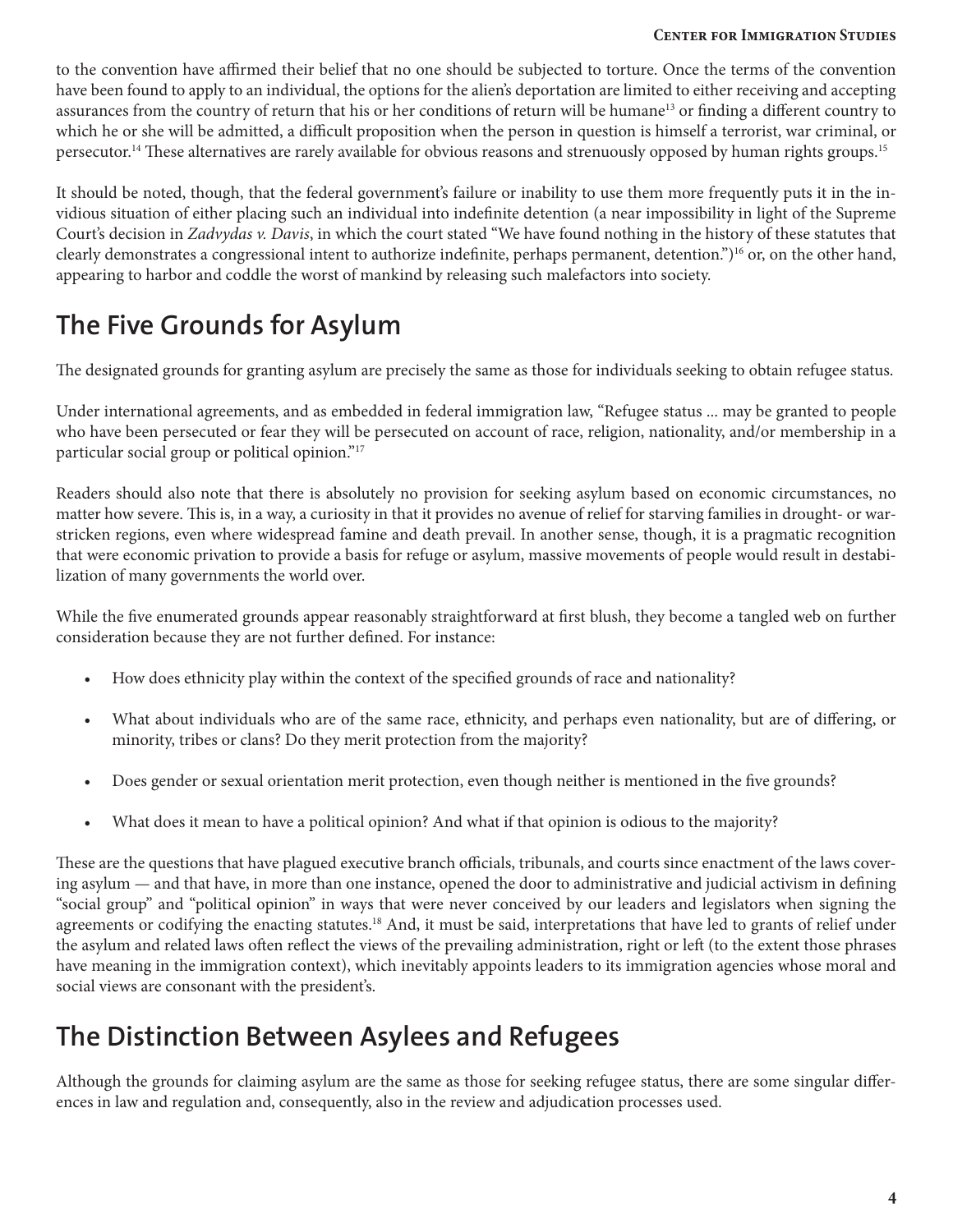to the convention have affirmed their belief that no one should be subjected to torture. Once the terms of the convention have been found to apply to an individual, the options for the alien's deportation are limited to either receiving and accepting assurances from the country of return that his or her conditions of return will be humane<sup>13</sup> or finding a different country to which he or she will be admitted, a difficult proposition when the person in question is himself a terrorist, war criminal, or persecutor.14 These alternatives are rarely available for obvious reasons and strenuously opposed by human rights groups.15

It should be noted, though, that the federal government's failure or inability to use them more frequently puts it in the invidious situation of either placing such an individual into indefinite detention (a near impossibility in light of the Supreme Court's decision in *Zadvydas v. Davis*, in which the court stated "We have found nothing in the history of these statutes that clearly demonstrates a congressional intent to authorize indefinite, perhaps permanent, detention.")16 or, on the other hand, appearing to harbor and coddle the worst of mankind by releasing such malefactors into society.

## **The Five Grounds for Asylum**

The designated grounds for granting asylum are precisely the same as those for individuals seeking to obtain refugee status.

Under international agreements, and as embedded in federal immigration law, "Refugee status ... may be granted to people who have been persecuted or fear they will be persecuted on account of race, religion, nationality, and/or membership in a particular social group or political opinion."17

Readers should also note that there is absolutely no provision for seeking asylum based on economic circumstances, no matter how severe. This is, in a way, a curiosity in that it provides no avenue of relief for starving families in drought- or warstricken regions, even where widespread famine and death prevail. In another sense, though, it is a pragmatic recognition that were economic privation to provide a basis for refuge or asylum, massive movements of people would result in destabilization of many governments the world over.

While the five enumerated grounds appear reasonably straightforward at first blush, they become a tangled web on further consideration because they are not further defined. For instance:

- How does ethnicity play within the context of the specified grounds of race and nationality?
- What about individuals who are of the same race, ethnicity, and perhaps even nationality, but are of differing, or minority, tribes or clans? Do they merit protection from the majority?
- Does gender or sexual orientation merit protection, even though neither is mentioned in the five grounds?
- What does it mean to have a political opinion? And what if that opinion is odious to the majority?

These are the questions that have plagued executive branch officials, tribunals, and courts since enactment of the laws covering asylum — and that have, in more than one instance, opened the door to administrative and judicial activism in defining "social group" and "political opinion" in ways that were never conceived by our leaders and legislators when signing the agreements or codifying the enacting statutes.<sup>18</sup> And, it must be said, interpretations that have led to grants of relief under the asylum and related laws often reflect the views of the prevailing administration, right or left (to the extent those phrases have meaning in the immigration context), which inevitably appoints leaders to its immigration agencies whose moral and social views are consonant with the president's.

### **The Distinction Between Asylees and Refugees**

Although the grounds for claiming asylum are the same as those for seeking refugee status, there are some singular differences in law and regulation and, consequently, also in the review and adjudication processes used.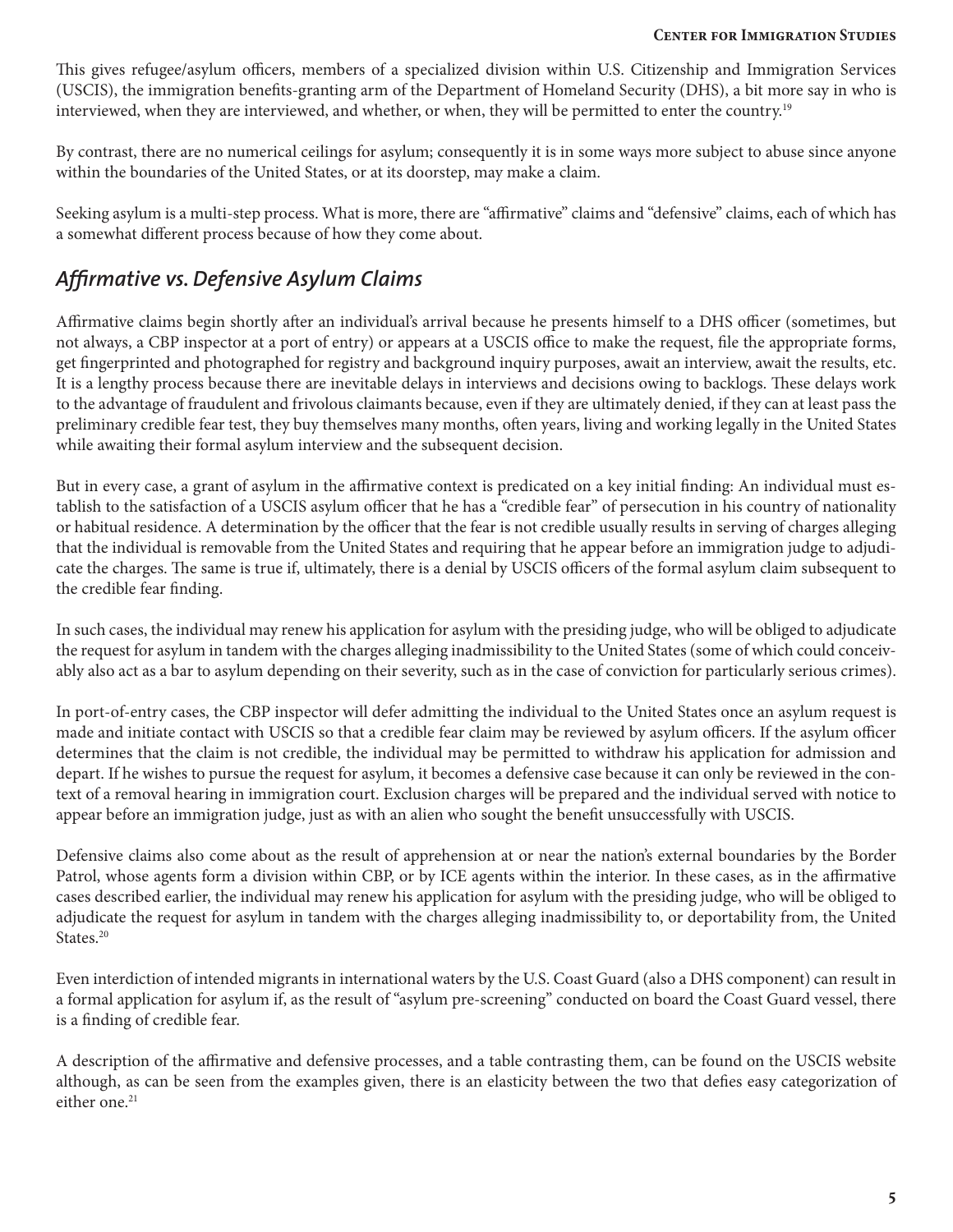This gives refugee/asylum officers, members of a specialized division within U.S. Citizenship and Immigration Services (USCIS), the immigration benefits-granting arm of the Department of Homeland Security (DHS), a bit more say in who is interviewed, when they are interviewed, and whether, or when, they will be permitted to enter the country.19

By contrast, there are no numerical ceilings for asylum; consequently it is in some ways more subject to abuse since anyone within the boundaries of the United States, or at its doorstep, may make a claim.

Seeking asylum is a multi-step process. What is more, there are "affirmative" claims and "defensive" claims, each of which has a somewhat different process because of how they come about.

### *Affirmative vs. Defensive Asylum Claims*

Affirmative claims begin shortly after an individual's arrival because he presents himself to a DHS officer (sometimes, but not always, a CBP inspector at a port of entry) or appears at a USCIS office to make the request, file the appropriate forms, get fingerprinted and photographed for registry and background inquiry purposes, await an interview, await the results, etc. It is a lengthy process because there are inevitable delays in interviews and decisions owing to backlogs. These delays work to the advantage of fraudulent and frivolous claimants because, even if they are ultimately denied, if they can at least pass the preliminary credible fear test, they buy themselves many months, often years, living and working legally in the United States while awaiting their formal asylum interview and the subsequent decision.

But in every case, a grant of asylum in the affirmative context is predicated on a key initial finding: An individual must establish to the satisfaction of a USCIS asylum officer that he has a "credible fear" of persecution in his country of nationality or habitual residence. A determination by the officer that the fear is not credible usually results in serving of charges alleging that the individual is removable from the United States and requiring that he appear before an immigration judge to adjudicate the charges. The same is true if, ultimately, there is a denial by USCIS officers of the formal asylum claim subsequent to the credible fear finding.

In such cases, the individual may renew his application for asylum with the presiding judge, who will be obliged to adjudicate the request for asylum in tandem with the charges alleging inadmissibility to the United States (some of which could conceivably also act as a bar to asylum depending on their severity, such as in the case of conviction for particularly serious crimes).

In port-of-entry cases, the CBP inspector will defer admitting the individual to the United States once an asylum request is made and initiate contact with USCIS so that a credible fear claim may be reviewed by asylum officers. If the asylum officer determines that the claim is not credible, the individual may be permitted to withdraw his application for admission and depart. If he wishes to pursue the request for asylum, it becomes a defensive case because it can only be reviewed in the context of a removal hearing in immigration court. Exclusion charges will be prepared and the individual served with notice to appear before an immigration judge, just as with an alien who sought the benefit unsuccessfully with USCIS.

Defensive claims also come about as the result of apprehension at or near the nation's external boundaries by the Border Patrol, whose agents form a division within CBP, or by ICE agents within the interior. In these cases, as in the affirmative cases described earlier, the individual may renew his application for asylum with the presiding judge, who will be obliged to adjudicate the request for asylum in tandem with the charges alleging inadmissibility to, or deportability from, the United States.<sup>20</sup>

Even interdiction of intended migrants in international waters by the U.S. Coast Guard (also a DHS component) can result in a formal application for asylum if, as the result of "asylum pre-screening" conducted on board the Coast Guard vessel, there is a finding of credible fear.

A description of the affirmative and defensive processes, and a table contrasting them, can be found on the USCIS website although, as can be seen from the examples given, there is an elasticity between the two that defies easy categorization of either one.<sup>21</sup>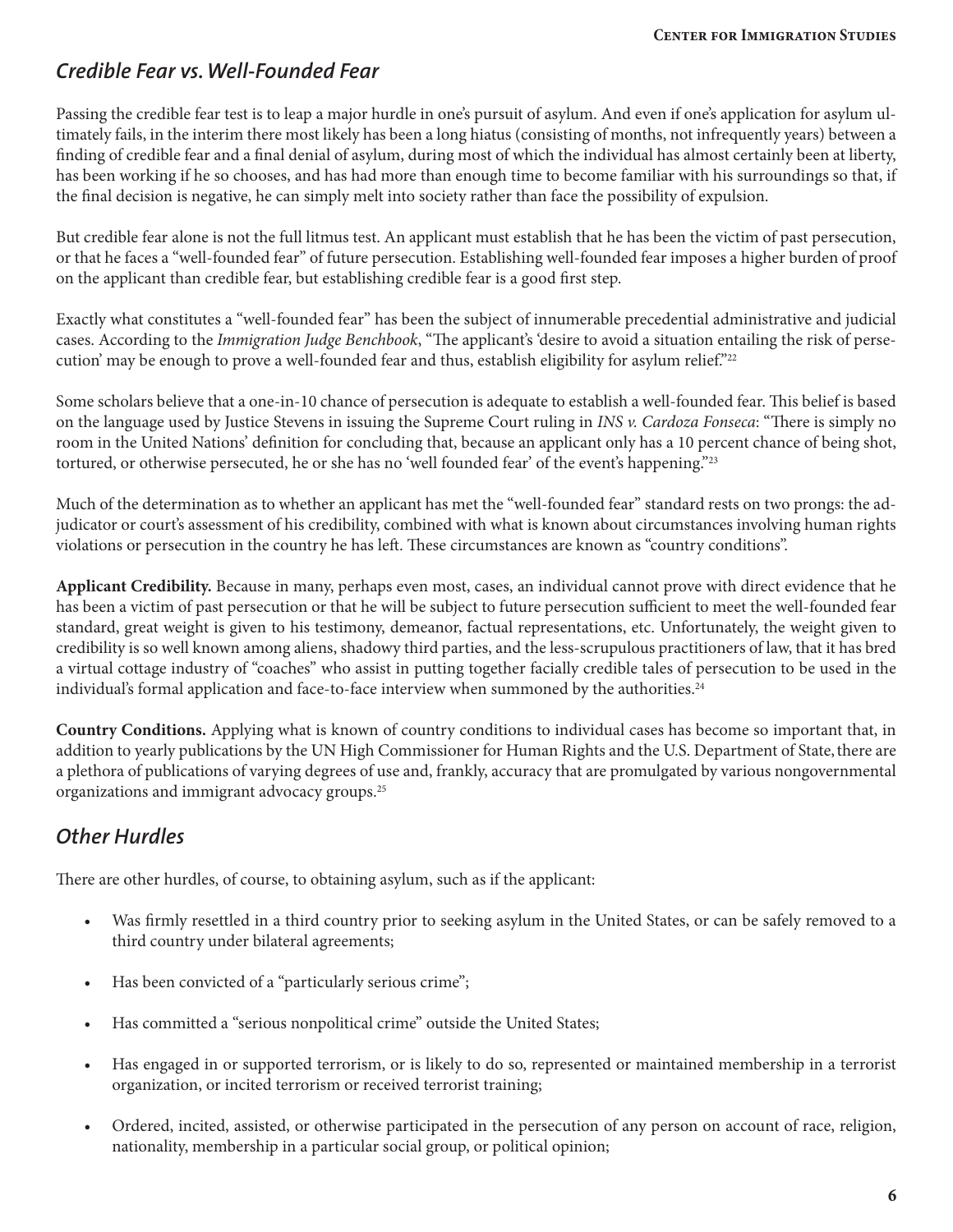### *Credible Fear vs. Well-Founded Fear*

Passing the credible fear test is to leap a major hurdle in one's pursuit of asylum. And even if one's application for asylum ultimately fails, in the interim there most likely has been a long hiatus (consisting of months, not infrequently years) between a finding of credible fear and a final denial of asylum, during most of which the individual has almost certainly been at liberty, has been working if he so chooses, and has had more than enough time to become familiar with his surroundings so that, if the final decision is negative, he can simply melt into society rather than face the possibility of expulsion.

But credible fear alone is not the full litmus test. An applicant must establish that he has been the victim of past persecution, or that he faces a "well-founded fear" of future persecution. Establishing well-founded fear imposes a higher burden of proof on the applicant than credible fear, but establishing credible fear is a good first step.

Exactly what constitutes a "well-founded fear" has been the subject of innumerable precedential administrative and judicial cases. According to the *Immigration Judge Benchbook*, "The applicant's 'desire to avoid a situation entailing the risk of persecution' may be enough to prove a well-founded fear and thus, establish eligibility for asylum relief."22

Some scholars believe that a one-in-10 chance of persecution is adequate to establish a well-founded fear. This belief is based on the language used by Justice Stevens in issuing the Supreme Court ruling in *INS v. Cardoza Fonseca*: "There is simply no room in the United Nations' definition for concluding that, because an applicant only has a 10 percent chance of being shot, tortured, or otherwise persecuted, he or she has no 'well founded fear' of the event's happening."<sup>23</sup>

Much of the determination as to whether an applicant has met the "well-founded fear" standard rests on two prongs: the adjudicator or court's assessment of his credibility, combined with what is known about circumstances involving human rights violations or persecution in the country he has left. These circumstances are known as "country conditions".

**Applicant Credibility.** Because in many, perhaps even most, cases, an individual cannot prove with direct evidence that he has been a victim of past persecution or that he will be subject to future persecution sufficient to meet the well-founded fear standard, great weight is given to his testimony, demeanor, factual representations, etc. Unfortunately, the weight given to credibility is so well known among aliens, shadowy third parties, and the less-scrupulous practitioners of law, that it has bred a virtual cottage industry of "coaches" who assist in putting together facially credible tales of persecution to be used in the individual's formal application and face-to-face interview when summoned by the authorities.<sup>24</sup>

**Country Conditions.** Applying what is known of country conditions to individual cases has become so important that, in addition to yearly publications by the UN High Commissioner for Human Rights and the U.S. Department of State, there are a plethora of publications of varying degrees of use and, frankly, accuracy that are promulgated by various nongovernmental organizations and immigrant advocacy groups.<sup>25</sup>

### *Other Hurdles*

There are other hurdles, of course, to obtaining asylum, such as if the applicant:

- Was firmly resettled in a third country prior to seeking asylum in the United States, or can be safely removed to a third country under bilateral agreements;
- Has been convicted of a "particularly serious crime";
- Has committed a "serious nonpolitical crime" outside the United States;
- Has engaged in or supported terrorism, or is likely to do so, represented or maintained membership in a terrorist organization, or incited terrorism or received terrorist training;
- Ordered, incited, assisted, or otherwise participated in the persecution of any person on account of race, religion, nationality, membership in a particular social group, or political opinion;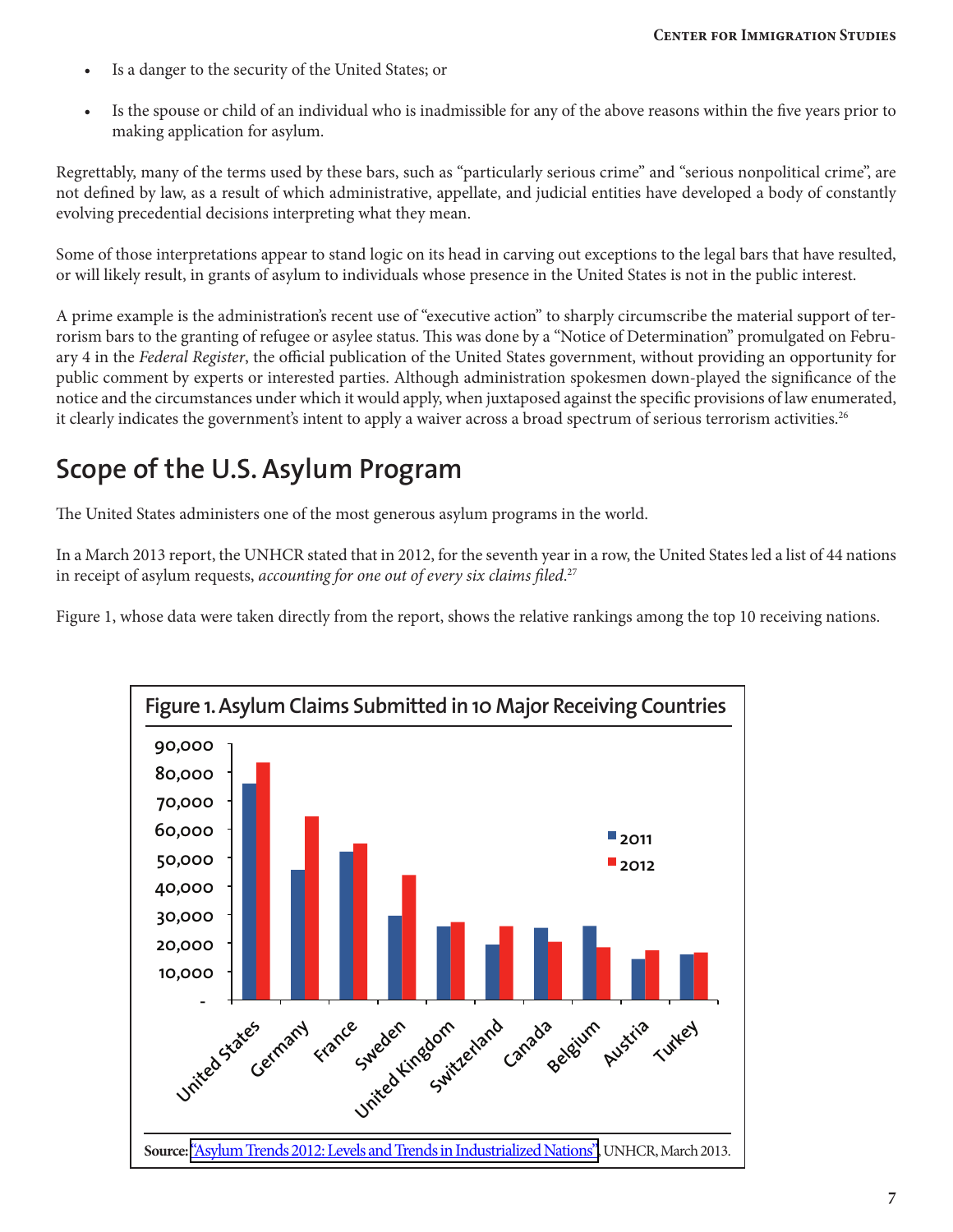- Is a danger to the security of the United States; or
- Is the spouse or child of an individual who is inadmissible for any of the above reasons within the five years prior to making application for asylum.

Regrettably, many of the terms used by these bars, such as "particularly serious crime" and "serious nonpolitical crime", are not defined by law, as a result of which administrative, appellate, and judicial entities have developed a body of constantly evolving precedential decisions interpreting what they mean.

Some of those interpretations appear to stand logic on its head in carving out exceptions to the legal bars that have resulted, or will likely result, in grants of asylum to individuals whose presence in the United States is not in the public interest.

A prime example is the administration's recent use of "executive action" to sharply circumscribe the material support of terrorism bars to the granting of refugee or asylee status. This was done by a "Notice of Determination" promulgated on February 4 in the *Federal Register*, the official publication of the United States government, without providing an opportunity for public comment by experts or interested parties. Although administration spokesmen down-played the significance of the notice and the circumstances under which it would apply, when juxtaposed against the specific provisions of law enumerated, it clearly indicates the government's intent to apply a waiver across a broad spectrum of serious terrorism activities.<sup>26</sup>

## **Scope of the U.S. Asylum Program**

The United States administers one of the most generous asylum programs in the world.

In a March 2013 report, the UNHCR stated that in 2012, for the seventh year in a row, the United States led a list of 44 nations in receipt of asylum requests, *accounting for one out of every six claims filed*. 27

Figure 1, whose data were taken directly from the report, shows the relative rankings among the top 10 receiving nations.

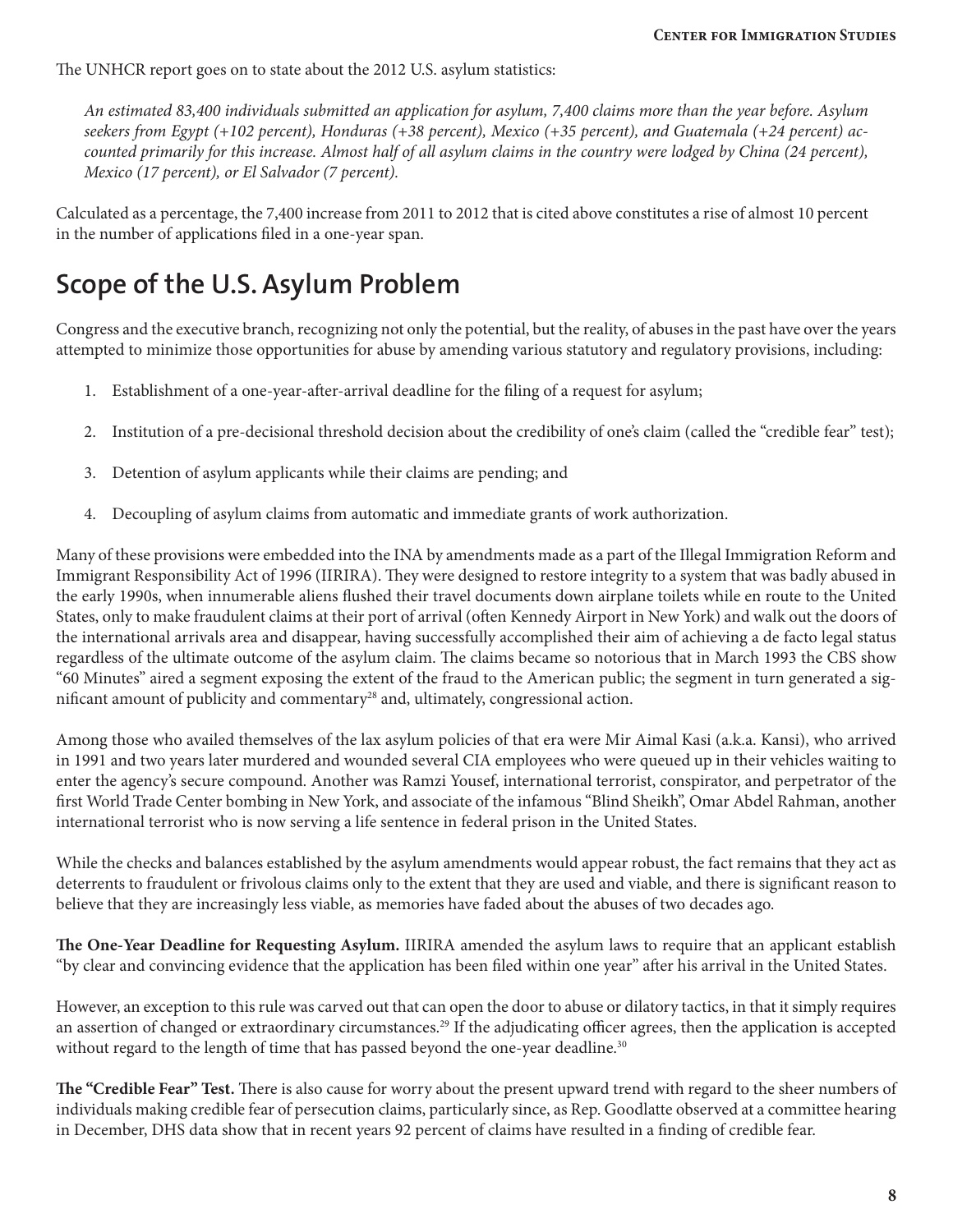The UNHCR report goes on to state about the 2012 U.S. asylum statistics:

*An estimated 83,400 individuals submitted an application for asylum, 7,400 claims more than the year before. Asylum seekers from Egypt (+102 percent), Honduras (+38 percent), Mexico (+35 percent), and Guatemala (+24 percent) accounted primarily for this increase. Almost half of all asylum claims in the country were lodged by China (24 percent), Mexico (17 percent), or El Salvador (7 percent).*

Calculated as a percentage, the 7,400 increase from 2011 to 2012 that is cited above constitutes a rise of almost 10 percent in the number of applications filed in a one-year span.

## **Scope of the U.S. Asylum Problem**

Congress and the executive branch, recognizing not only the potential, but the reality, of abuses in the past have over the years attempted to minimize those opportunities for abuse by amending various statutory and regulatory provisions, including:

- 1. Establishment of a one-year-after-arrival deadline for the filing of a request for asylum;
- 2. Institution of a pre-decisional threshold decision about the credibility of one's claim (called the "credible fear" test);
- 3. Detention of asylum applicants while their claims are pending; and
- 4. Decoupling of asylum claims from automatic and immediate grants of work authorization.

Many of these provisions were embedded into the INA by amendments made as a part of the Illegal Immigration Reform and Immigrant Responsibility Act of 1996 (IIRIRA). They were designed to restore integrity to a system that was badly abused in the early 1990s, when innumerable aliens flushed their travel documents down airplane toilets while en route to the United States, only to make fraudulent claims at their port of arrival (often Kennedy Airport in New York) and walk out the doors of the international arrivals area and disappear, having successfully accomplished their aim of achieving a de facto legal status regardless of the ultimate outcome of the asylum claim. The claims became so notorious that in March 1993 the CBS show "60 Minutes" aired a segment exposing the extent of the fraud to the American public; the segment in turn generated a significant amount of publicity and commentary<sup>28</sup> and, ultimately, congressional action.

Among those who availed themselves of the lax asylum policies of that era were Mir Aimal Kasi (a.k.a. Kansi), who arrived in 1991 and two years later murdered and wounded several CIA employees who were queued up in their vehicles waiting to enter the agency's secure compound. Another was Ramzi Yousef, international terrorist, conspirator, and perpetrator of the first World Trade Center bombing in New York, and associate of the infamous "Blind Sheikh", Omar Abdel Rahman, another international terrorist who is now serving a life sentence in federal prison in the United States.

While the checks and balances established by the asylum amendments would appear robust, the fact remains that they act as deterrents to fraudulent or frivolous claims only to the extent that they are used and viable, and there is significant reason to believe that they are increasingly less viable, as memories have faded about the abuses of two decades ago.

**The One-Year Deadline for Requesting Asylum.** IIRIRA amended the asylum laws to require that an applicant establish "by clear and convincing evidence that the application has been filed within one year" after his arrival in the United States.

However, an exception to this rule was carved out that can open the door to abuse or dilatory tactics, in that it simply requires an assertion of changed or extraordinary circumstances.<sup>29</sup> If the adjudicating officer agrees, then the application is accepted without regard to the length of time that has passed beyond the one-year deadline.<sup>30</sup>

**The "Credible Fear" Test.** There is also cause for worry about the present upward trend with regard to the sheer numbers of individuals making credible fear of persecution claims, particularly since, as Rep. Goodlatte observed at a committee hearing in December, DHS data show that in recent years 92 percent of claims have resulted in a finding of credible fear.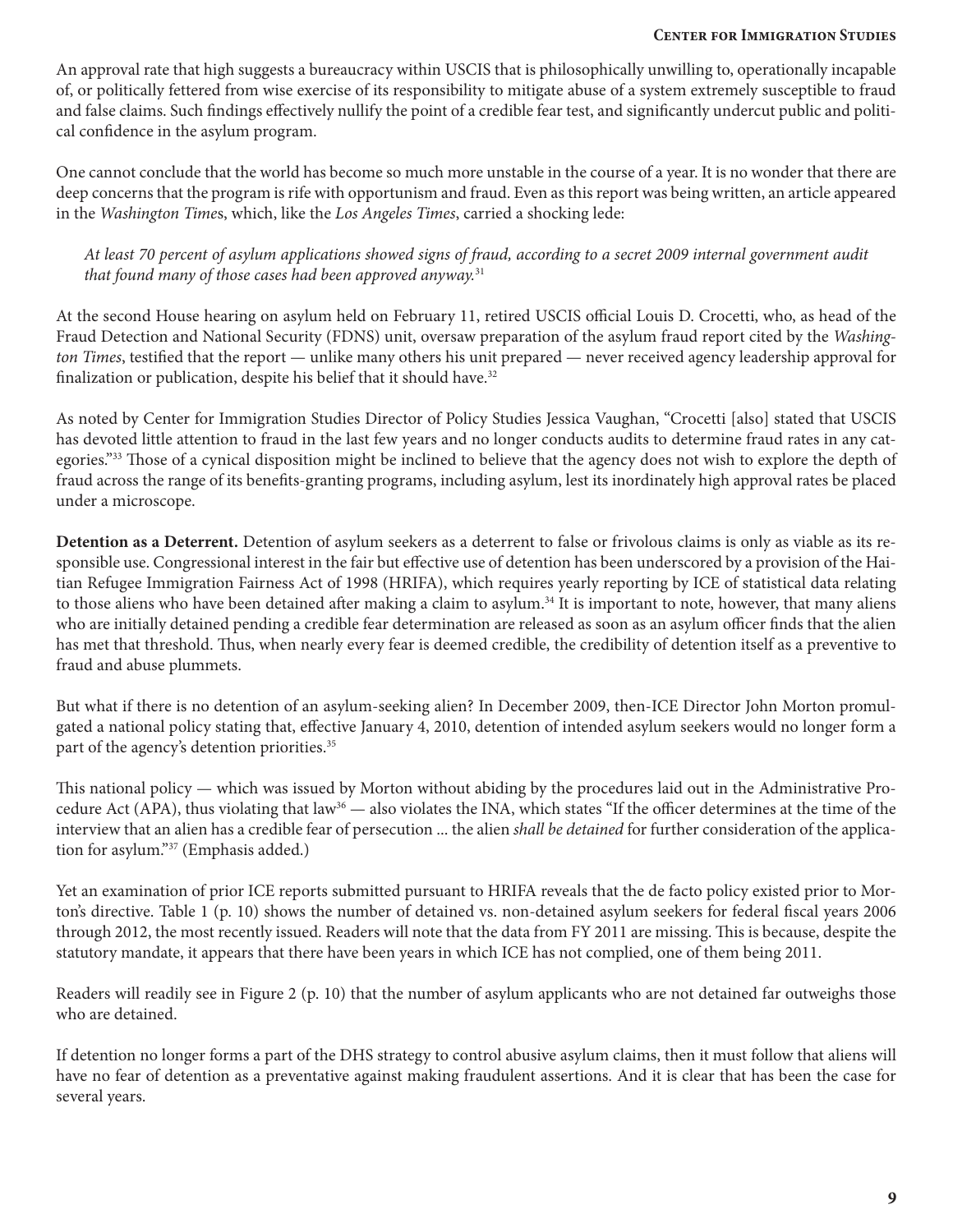An approval rate that high suggests a bureaucracy within USCIS that is philosophically unwilling to, operationally incapable of, or politically fettered from wise exercise of its responsibility to mitigate abuse of a system extremely susceptible to fraud and false claims. Such findings effectively nullify the point of a credible fear test, and significantly undercut public and political confidence in the asylum program.

One cannot conclude that the world has become so much more unstable in the course of a year. It is no wonder that there are deep concerns that the program is rife with opportunism and fraud. Even as this report was being written, an article appeared in the *Washington Time*s, which, like the *Los Angeles Times*, carried a shocking lede:

*At least 70 percent of asylum applications showed signs of fraud, according to a secret 2009 internal government audit that found many of those cases had been approved anyway.*<sup>31</sup>

At the second House hearing on asylum held on February 11, retired USCIS official Louis D. Crocetti, who, as head of the Fraud Detection and National Security (FDNS) unit, oversaw preparation of the asylum fraud report cited by the *Washington Times*, testified that the report — unlike many others his unit prepared — never received agency leadership approval for finalization or publication, despite his belief that it should have.<sup>32</sup>

As noted by Center for Immigration Studies Director of Policy Studies Jessica Vaughan, "Crocetti [also] stated that USCIS has devoted little attention to fraud in the last few years and no longer conducts audits to determine fraud rates in any categories."33 Those of a cynical disposition might be inclined to believe that the agency does not wish to explore the depth of fraud across the range of its benefits-granting programs, including asylum, lest its inordinately high approval rates be placed under a microscope.

**Detention as a Deterrent.** Detention of asylum seekers as a deterrent to false or frivolous claims is only as viable as its responsible use. Congressional interest in the fair but effective use of detention has been underscored by a provision of the Haitian Refugee Immigration Fairness Act of 1998 (HRIFA), which requires yearly reporting by ICE of statistical data relating to those aliens who have been detained after making a claim to asylum.<sup>34</sup> It is important to note, however, that many aliens who are initially detained pending a credible fear determination are released as soon as an asylum officer finds that the alien has met that threshold. Thus, when nearly every fear is deemed credible, the credibility of detention itself as a preventive to fraud and abuse plummets.

But what if there is no detention of an asylum-seeking alien? In December 2009, then-ICE Director John Morton promulgated a national policy stating that, effective January 4, 2010, detention of intended asylum seekers would no longer form a part of the agency's detention priorities.<sup>35</sup>

This national policy — which was issued by Morton without abiding by the procedures laid out in the Administrative Procedure Act (APA), thus violating that law<sup>36</sup> — also violates the INA, which states "If the officer determines at the time of the interview that an alien has a credible fear of persecution ... the alien *shall be detained* for further consideration of the application for asylum."37 (Emphasis added.)

Yet an examination of prior ICE reports submitted pursuant to HRIFA reveals that the de facto policy existed prior to Morton's directive. Table 1 (p. 10) shows the number of detained vs. non-detained asylum seekers for federal fiscal years 2006 through 2012, the most recently issued. Readers will note that the data from FY 2011 are missing. This is because, despite the statutory mandate, it appears that there have been years in which ICE has not complied, one of them being 2011.

Readers will readily see in Figure 2 (p. 10) that the number of asylum applicants who are not detained far outweighs those who are detained.

If detention no longer forms a part of the DHS strategy to control abusive asylum claims, then it must follow that aliens will have no fear of detention as a preventative against making fraudulent assertions. And it is clear that has been the case for several years.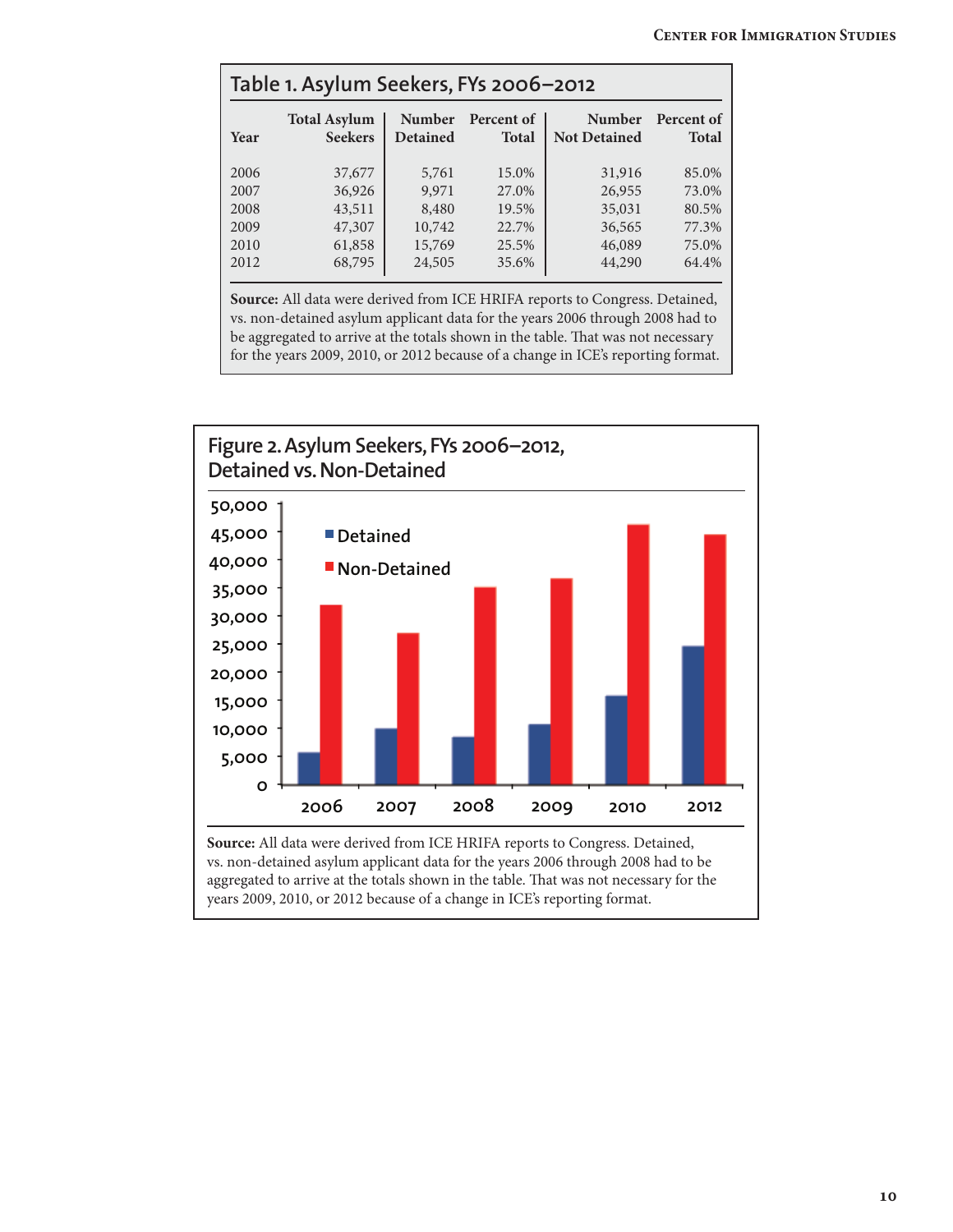| Table 1. Asylum Seekers, FYs 2006-2012 |                                       |                                  |                            |                                      |                            |
|----------------------------------------|---------------------------------------|----------------------------------|----------------------------|--------------------------------------|----------------------------|
| Year                                   | <b>Total Asylum</b><br><b>Seekers</b> | <b>Number</b><br><b>Detained</b> | Percent of<br><b>Total</b> | <b>Number</b><br><b>Not Detained</b> | Percent of<br><b>Total</b> |
| 2006                                   | 37,677                                | 5,761                            | 15.0%                      | 31,916                               | 85.0%                      |
| 2007                                   | 36,926                                | 9,971                            | 27.0%                      | 26,955                               | 73.0%                      |
| 2008                                   | 43,511                                | 8,480                            | 19.5%                      | 35,031                               | 80.5%                      |
| 2009                                   | 47,307                                | 10,742                           | 22.7%                      | 36,565                               | 77.3%                      |
| 2010                                   | 61,858                                | 15,769                           | 25.5%                      | 46,089                               | 75.0%                      |
| 2012                                   | 68,795                                | 24,505                           | 35.6%                      | 44,290                               | 64.4%                      |

**Source:** All data were derived from ICE HRIFA reports to Congress. Detained, vs. non-detained asylum applicant data for the years 2006 through 2008 had to be aggregated to arrive at the totals shown in the table. That was not necessary for the years 2009, 2010, or 2012 because of a change in ICE's reporting format.

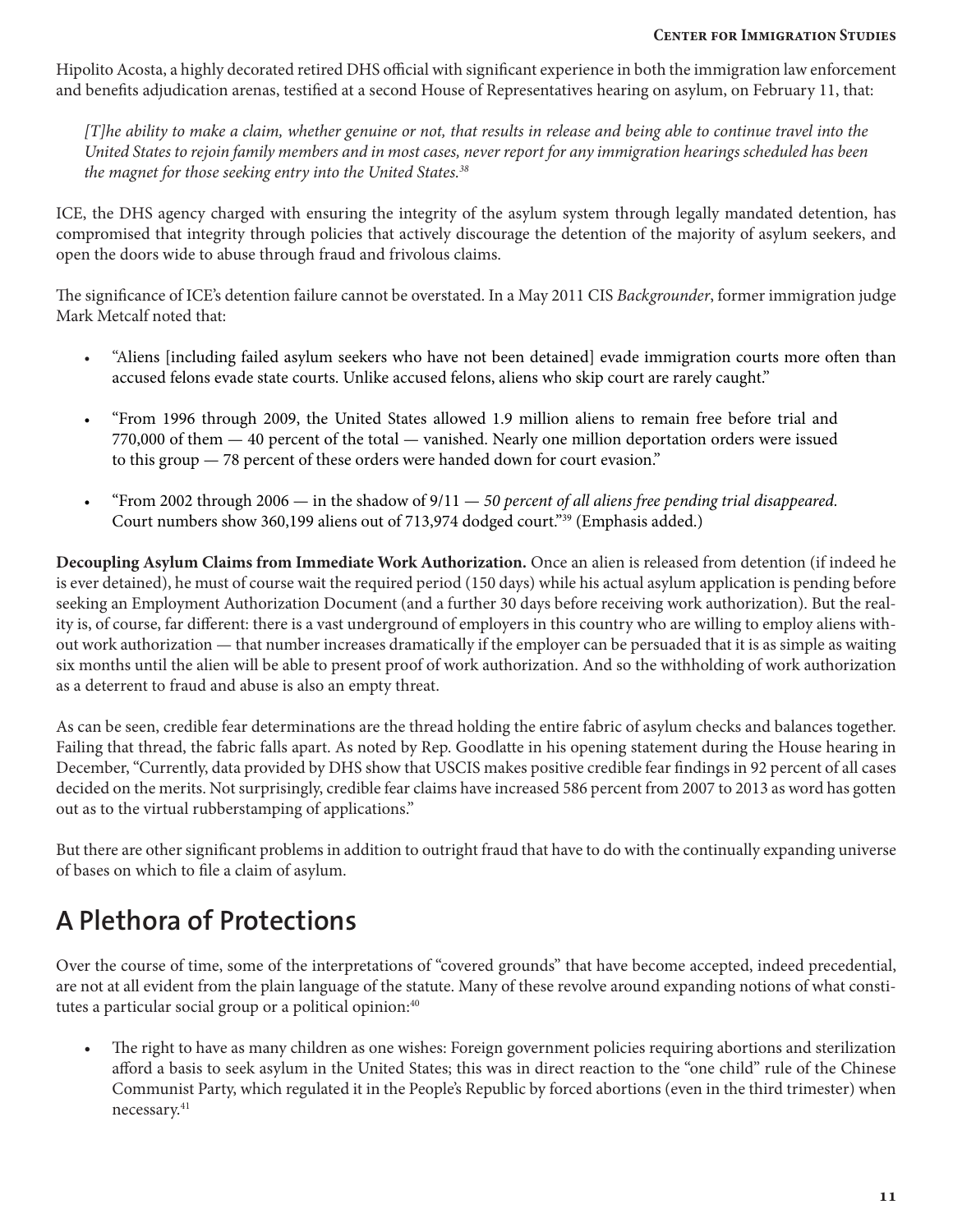Hipolito Acosta, a highly decorated retired DHS official with significant experience in both the immigration law enforcement and benefits adjudication arenas, testified at a second House of Representatives hearing on asylum, on February 11, that:

*[T]he ability to make a claim, whether genuine or not, that results in release and being able to continue travel into the United States to rejoin family members and in most cases, never report for any immigration hearings scheduled has been the magnet for those seeking entry into the United States.38*

ICE, the DHS agency charged with ensuring the integrity of the asylum system through legally mandated detention, has compromised that integrity through policies that actively discourage the detention of the majority of asylum seekers, and open the doors wide to abuse through fraud and frivolous claims.

The significance of ICE's detention failure cannot be overstated. In a May 2011 CIS *Backgrounder*, former immigration judge Mark Metcalf noted that:

- "Aliens [including failed asylum seekers who have not been detained] evade immigration courts more often than accused felons evade state courts. Unlike accused felons, aliens who skip court are rarely caught."
- "From 1996 through 2009, the United States allowed 1.9 million aliens to remain free before trial and 770,000 of them — 40 percent of the total — vanished. Nearly one million deportation orders were issued to this group — 78 percent of these orders were handed down for court evasion."
- "From 2002 through 2006 in the shadow of 9/11 *50 percent of all aliens free pending trial disappeared.* Court numbers show 360,199 aliens out of 713,974 dodged court."39 (Emphasis added.)

**Decoupling Asylum Claims from Immediate Work Authorization.** Once an alien is released from detention (if indeed he is ever detained), he must of course wait the required period (150 days) while his actual asylum application is pending before seeking an Employment Authorization Document (and a further 30 days before receiving work authorization). But the reality is, of course, far different: there is a vast underground of employers in this country who are willing to employ aliens without work authorization — that number increases dramatically if the employer can be persuaded that it is as simple as waiting six months until the alien will be able to present proof of work authorization. And so the withholding of work authorization as a deterrent to fraud and abuse is also an empty threat.

As can be seen, credible fear determinations are the thread holding the entire fabric of asylum checks and balances together. Failing that thread, the fabric falls apart. As noted by Rep. Goodlatte in his opening statement during the House hearing in December, "Currently, data provided by DHS show that USCIS makes positive credible fear findings in 92 percent of all cases decided on the merits. Not surprisingly, credible fear claims have increased 586 percent from 2007 to 2013 as word has gotten out as to the virtual rubberstamping of applications."

But there are other significant problems in addition to outright fraud that have to do with the continually expanding universe of bases on which to file a claim of asylum.

## **A Plethora of Protections**

Over the course of time, some of the interpretations of "covered grounds" that have become accepted, indeed precedential, are not at all evident from the plain language of the statute. Many of these revolve around expanding notions of what constitutes a particular social group or a political opinion:<sup>40</sup>

• The right to have as many children as one wishes: Foreign government policies requiring abortions and sterilization afford a basis to seek asylum in the United States; this was in direct reaction to the "one child" rule of the Chinese Communist Party, which regulated it in the People's Republic by forced abortions (even in the third trimester) when necessary.41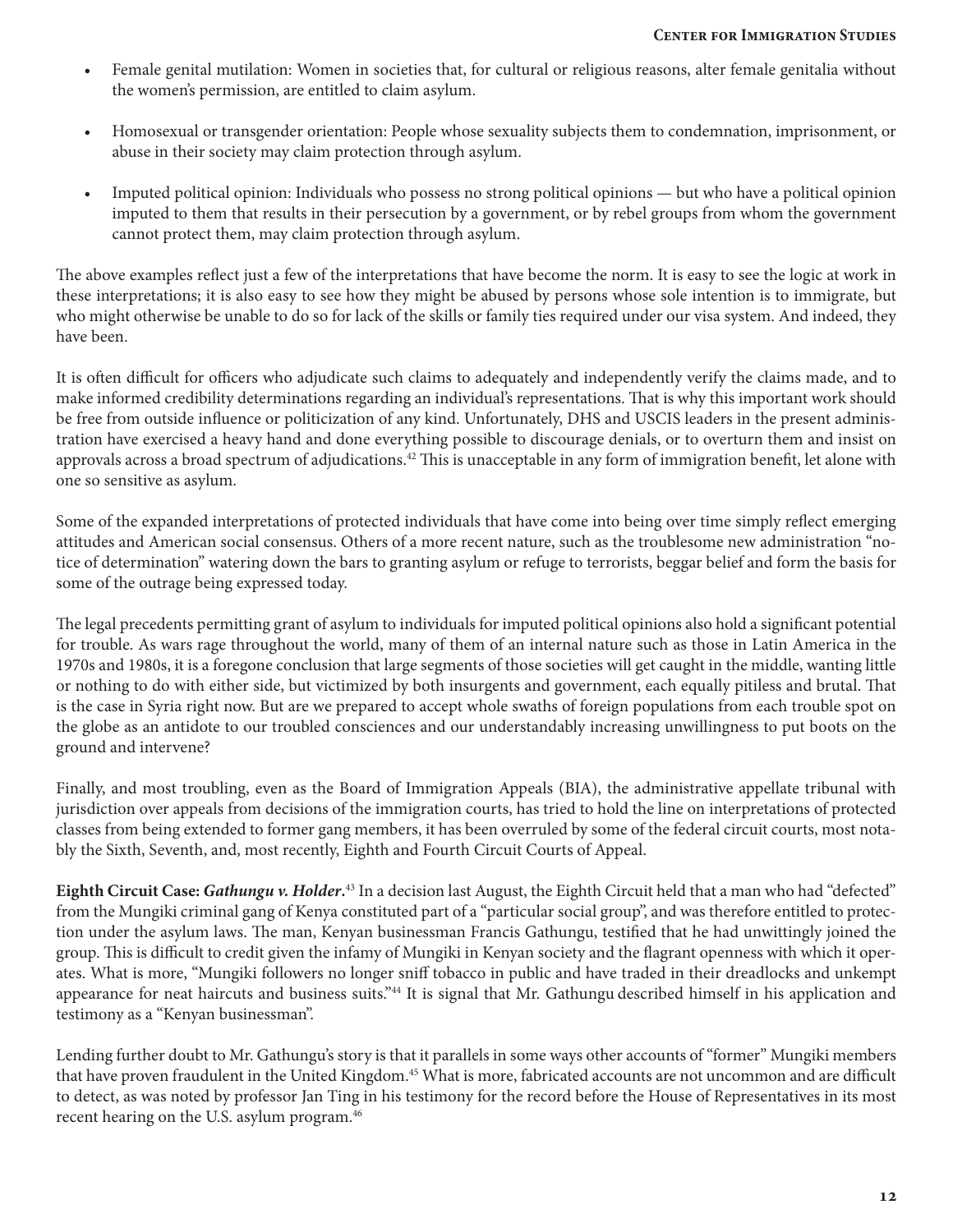- Female genital mutilation: Women in societies that, for cultural or religious reasons, alter female genitalia without the women's permission, are entitled to claim asylum.
- Homosexual or transgender orientation: People whose sexuality subjects them to condemnation, imprisonment, or abuse in their society may claim protection through asylum.
- Imputed political opinion: Individuals who possess no strong political opinions but who have a political opinion imputed to them that results in their persecution by a government, or by rebel groups from whom the government cannot protect them, may claim protection through asylum.

The above examples reflect just a few of the interpretations that have become the norm. It is easy to see the logic at work in these interpretations; it is also easy to see how they might be abused by persons whose sole intention is to immigrate, but who might otherwise be unable to do so for lack of the skills or family ties required under our visa system. And indeed, they have been.

It is often difficult for officers who adjudicate such claims to adequately and independently verify the claims made, and to make informed credibility determinations regarding an individual's representations. That is why this important work should be free from outside influence or politicization of any kind. Unfortunately, DHS and USCIS leaders in the present administration have exercised a heavy hand and done everything possible to discourage denials, or to overturn them and insist on approvals across a broad spectrum of adjudications.<sup>42</sup> This is unacceptable in any form of immigration benefit, let alone with one so sensitive as asylum.

Some of the expanded interpretations of protected individuals that have come into being over time simply reflect emerging attitudes and American social consensus. Others of a more recent nature, such as the troublesome new administration "notice of determination" watering down the bars to granting asylum or refuge to terrorists, beggar belief and form the basis for some of the outrage being expressed today.

The legal precedents permitting grant of asylum to individuals for imputed political opinions also hold a significant potential for trouble. As wars rage throughout the world, many of them of an internal nature such as those in Latin America in the 1970s and 1980s, it is a foregone conclusion that large segments of those societies will get caught in the middle, wanting little or nothing to do with either side, but victimized by both insurgents and government, each equally pitiless and brutal. That is the case in Syria right now. But are we prepared to accept whole swaths of foreign populations from each trouble spot on the globe as an antidote to our troubled consciences and our understandably increasing unwillingness to put boots on the ground and intervene?

Finally, and most troubling, even as the Board of Immigration Appeals (BIA), the administrative appellate tribunal with jurisdiction over appeals from decisions of the immigration courts, has tried to hold the line on interpretations of protected classes from being extended to former gang members, it has been overruled by some of the federal circuit courts, most notably the Sixth, Seventh, and, most recently, Eighth and Fourth Circuit Courts of Appeal.

**Eighth Circuit Case:** *Gathungu v. Holder***.** 43 In a decision last August, the Eighth Circuit held that a man who had "defected" from the Mungiki criminal gang of Kenya constituted part of a "particular social group", and was therefore entitled to protection under the asylum laws. The man, Kenyan businessman Francis Gathungu, testified that he had unwittingly joined the group. This is difficult to credit given the infamy of Mungiki in Kenyan society and the flagrant openness with which it operates. What is more, "Mungiki followers no longer sniff tobacco in public and have traded in their dreadlocks and unkempt appearance for neat haircuts and business suits."44 It is signal that Mr. Gathungu described himself in his application and testimony as a "Kenyan businessman".

Lending further doubt to Mr. Gathungu's story is that it parallels in some ways other accounts of "former" Mungiki members that have proven fraudulent in the United Kingdom.<sup>45</sup> What is more, fabricated accounts are not uncommon and are difficult to detect, as was noted by professor Jan Ting in his testimony for the record before the House of Representatives in its most recent hearing on the U.S. asylum program.<sup>46</sup>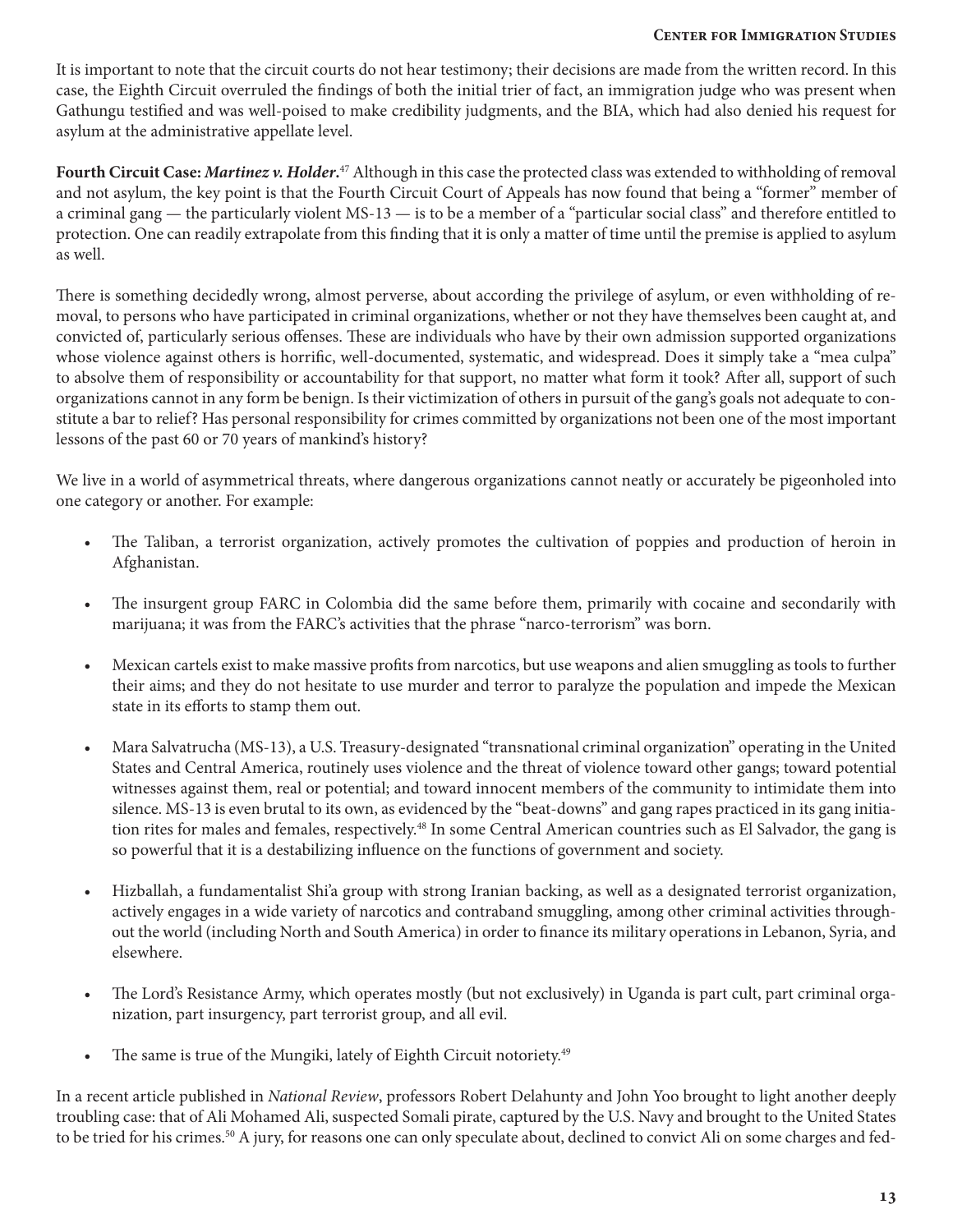It is important to note that the circuit courts do not hear testimony; their decisions are made from the written record. In this case, the Eighth Circuit overruled the findings of both the initial trier of fact, an immigration judge who was present when Gathungu testified and was well-poised to make credibility judgments, and the BIA, which had also denied his request for asylum at the administrative appellate level.

**Fourth Circuit Case:** *Martinez v. Holder***.** 47 Although in this case the protected class was extended to withholding of removal and not asylum, the key point is that the Fourth Circuit Court of Appeals has now found that being a "former" member of a criminal gang — the particularly violent MS-13 — is to be a member of a "particular social class" and therefore entitled to protection. One can readily extrapolate from this finding that it is only a matter of time until the premise is applied to asylum as well.

There is something decidedly wrong, almost perverse, about according the privilege of asylum, or even withholding of removal, to persons who have participated in criminal organizations, whether or not they have themselves been caught at, and convicted of, particularly serious offenses. These are individuals who have by their own admission supported organizations whose violence against others is horrific, well-documented, systematic, and widespread. Does it simply take a "mea culpa" to absolve them of responsibility or accountability for that support, no matter what form it took? After all, support of such organizations cannot in any form be benign. Is their victimization of others in pursuit of the gang's goals not adequate to constitute a bar to relief? Has personal responsibility for crimes committed by organizations not been one of the most important lessons of the past 60 or 70 years of mankind's history?

We live in a world of asymmetrical threats, where dangerous organizations cannot neatly or accurately be pigeonholed into one category or another. For example:

- The Taliban, a terrorist organization, actively promotes the cultivation of poppies and production of heroin in Afghanistan.
- The insurgent group FARC in Colombia did the same before them, primarily with cocaine and secondarily with marijuana; it was from the FARC's activities that the phrase "narco-terrorism" was born.
- Mexican cartels exist to make massive profits from narcotics, but use weapons and alien smuggling as tools to further their aims; and they do not hesitate to use murder and terror to paralyze the population and impede the Mexican state in its efforts to stamp them out.
- Mara Salvatrucha (MS-13), a U.S. Treasury-designated "transnational criminal organization" operating in the United States and Central America, routinely uses violence and the threat of violence toward other gangs; toward potential witnesses against them, real or potential; and toward innocent members of the community to intimidate them into silence. MS-13 is even brutal to its own, as evidenced by the "beat-downs" and gang rapes practiced in its gang initiation rites for males and females, respectively.<sup>48</sup> In some Central American countries such as El Salvador, the gang is so powerful that it is a destabilizing influence on the functions of government and society.
- Hizballah, a fundamentalist Shi'a group with strong Iranian backing, as well as a designated terrorist organization, actively engages in a wide variety of narcotics and contraband smuggling, among other criminal activities throughout the world (including North and South America) in order to finance its military operations in Lebanon, Syria, and elsewhere.
- The Lord's Resistance Army, which operates mostly (but not exclusively) in Uganda is part cult, part criminal organization, part insurgency, part terrorist group, and all evil.
- The same is true of the Mungiki, lately of Eighth Circuit notoriety.<sup>49</sup>

In a recent article published in *National Review*, professors Robert Delahunty and John Yoo brought to light another deeply troubling case: that of Ali Mohamed Ali, suspected Somali pirate, captured by the U.S. Navy and brought to the United States to be tried for his crimes.<sup>50</sup> A jury, for reasons one can only speculate about, declined to convict Ali on some charges and fed-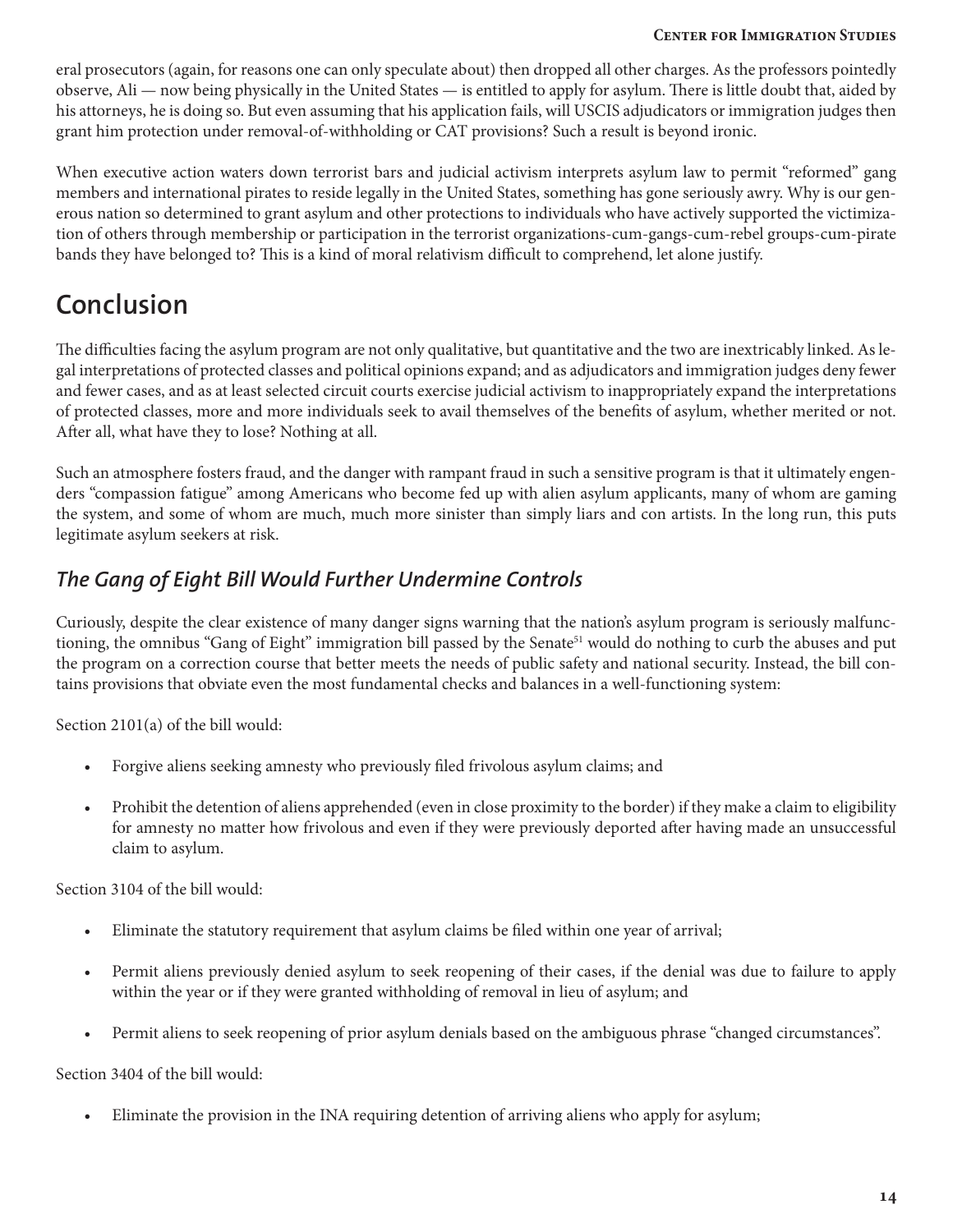eral prosecutors (again, for reasons one can only speculate about) then dropped all other charges. As the professors pointedly observe, Ali — now being physically in the United States — is entitled to apply for asylum. There is little doubt that, aided by his attorneys, he is doing so. But even assuming that his application fails, will USCIS adjudicators or immigration judges then grant him protection under removal-of-withholding or CAT provisions? Such a result is beyond ironic.

When executive action waters down terrorist bars and judicial activism interprets asylum law to permit "reformed" gang members and international pirates to reside legally in the United States, something has gone seriously awry. Why is our generous nation so determined to grant asylum and other protections to individuals who have actively supported the victimization of others through membership or participation in the terrorist organizations-cum-gangs-cum-rebel groups-cum-pirate bands they have belonged to? This is a kind of moral relativism difficult to comprehend, let alone justify.

## **Conclusion**

The difficulties facing the asylum program are not only qualitative, but quantitative and the two are inextricably linked. As legal interpretations of protected classes and political opinions expand; and as adjudicators and immigration judges deny fewer and fewer cases, and as at least selected circuit courts exercise judicial activism to inappropriately expand the interpretations of protected classes, more and more individuals seek to avail themselves of the benefits of asylum, whether merited or not. After all, what have they to lose? Nothing at all.

Such an atmosphere fosters fraud, and the danger with rampant fraud in such a sensitive program is that it ultimately engenders "compassion fatigue" among Americans who become fed up with alien asylum applicants, many of whom are gaming the system, and some of whom are much, much more sinister than simply liars and con artists. In the long run, this puts legitimate asylum seekers at risk.

### *The Gang of Eight Bill Would Further Undermine Controls*

Curiously, despite the clear existence of many danger signs warning that the nation's asylum program is seriously malfunctioning, the omnibus "Gang of Eight" immigration bill passed by the Senate<sup>51</sup> would do nothing to curb the abuses and put the program on a correction course that better meets the needs of public safety and national security. Instead, the bill contains provisions that obviate even the most fundamental checks and balances in a well-functioning system:

Section 2101(a) of the bill would:

- Forgive aliens seeking amnesty who previously filed frivolous asylum claims; and
- Prohibit the detention of aliens apprehended (even in close proximity to the border) if they make a claim to eligibility for amnesty no matter how frivolous and even if they were previously deported after having made an unsuccessful claim to asylum.

Section 3104 of the bill would:

- Eliminate the statutory requirement that asylum claims be filed within one year of arrival;
- Permit aliens previously denied asylum to seek reopening of their cases, if the denial was due to failure to apply within the year or if they were granted withholding of removal in lieu of asylum; and
- Permit aliens to seek reopening of prior asylum denials based on the ambiguous phrase "changed circumstances".

Section 3404 of the bill would:

• Eliminate the provision in the INA requiring detention of arriving aliens who apply for asylum;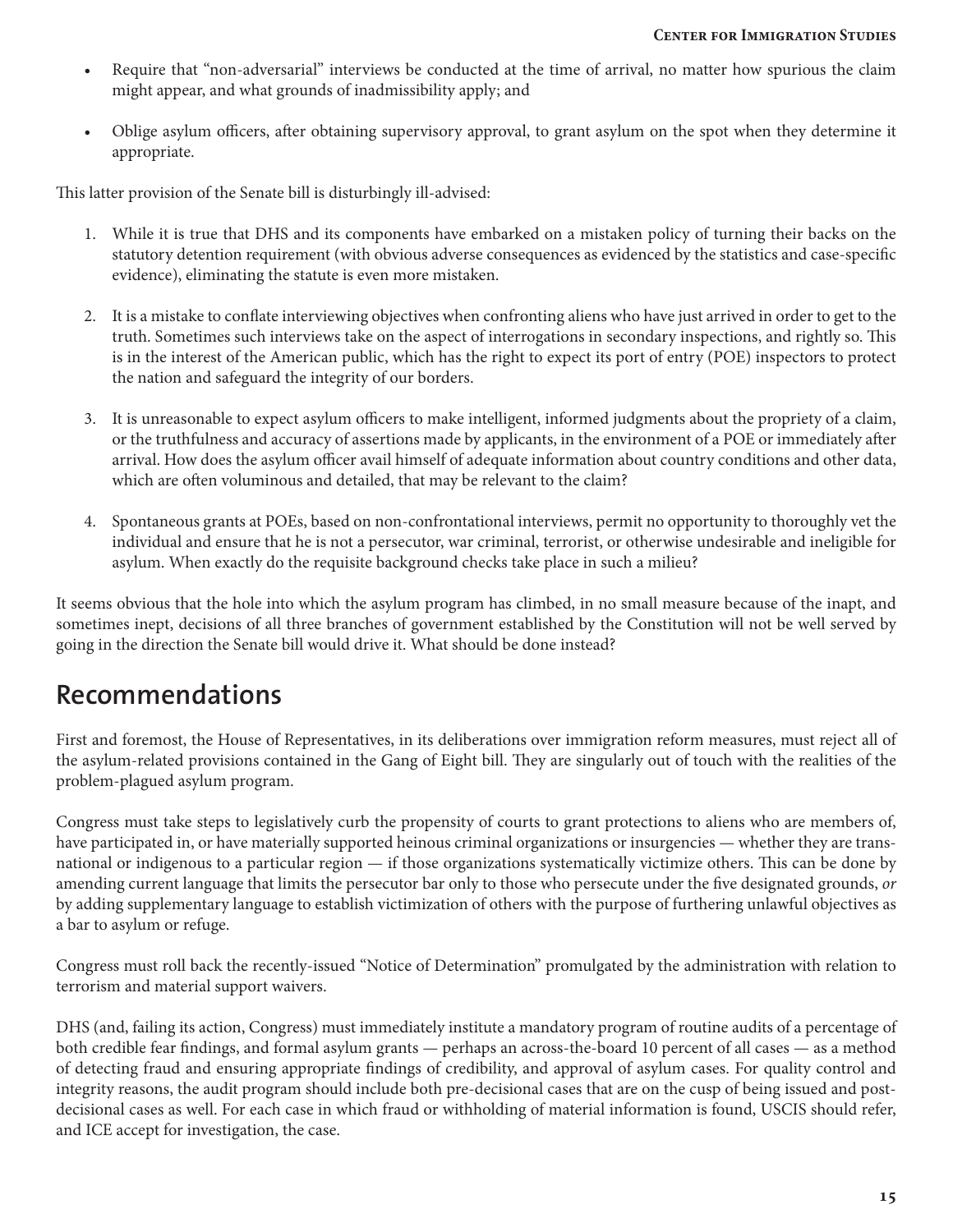- Require that "non-adversarial" interviews be conducted at the time of arrival, no matter how spurious the claim might appear, and what grounds of inadmissibility apply; and
- Oblige asylum officers, after obtaining supervisory approval, to grant asylum on the spot when they determine it appropriate.

This latter provision of the Senate bill is disturbingly ill-advised:

- 1. While it is true that DHS and its components have embarked on a mistaken policy of turning their backs on the statutory detention requirement (with obvious adverse consequences as evidenced by the statistics and case-specific evidence), eliminating the statute is even more mistaken.
- 2. It is a mistake to conflate interviewing objectives when confronting aliens who have just arrived in order to get to the truth. Sometimes such interviews take on the aspect of interrogations in secondary inspections, and rightly so. This is in the interest of the American public, which has the right to expect its port of entry (POE) inspectors to protect the nation and safeguard the integrity of our borders.
- 3. It is unreasonable to expect asylum officers to make intelligent, informed judgments about the propriety of a claim, or the truthfulness and accuracy of assertions made by applicants, in the environment of a POE or immediately after arrival. How does the asylum officer avail himself of adequate information about country conditions and other data, which are often voluminous and detailed, that may be relevant to the claim?
- 4. Spontaneous grants at POEs, based on non-confrontational interviews, permit no opportunity to thoroughly vet the individual and ensure that he is not a persecutor, war criminal, terrorist, or otherwise undesirable and ineligible for asylum. When exactly do the requisite background checks take place in such a milieu?

It seems obvious that the hole into which the asylum program has climbed, in no small measure because of the inapt, and sometimes inept, decisions of all three branches of government established by the Constitution will not be well served by going in the direction the Senate bill would drive it. What should be done instead?

### **Recommendations**

First and foremost, the House of Representatives, in its deliberations over immigration reform measures, must reject all of the asylum-related provisions contained in the Gang of Eight bill. They are singularly out of touch with the realities of the problem-plagued asylum program.

Congress must take steps to legislatively curb the propensity of courts to grant protections to aliens who are members of, have participated in, or have materially supported heinous criminal organizations or insurgencies — whether they are transnational or indigenous to a particular region — if those organizations systematically victimize others. This can be done by amending current language that limits the persecutor bar only to those who persecute under the five designated grounds, *or* by adding supplementary language to establish victimization of others with the purpose of furthering unlawful objectives as a bar to asylum or refuge.

Congress must roll back the recently-issued "Notice of Determination" promulgated by the administration with relation to terrorism and material support waivers.

DHS (and, failing its action, Congress) must immediately institute a mandatory program of routine audits of a percentage of both credible fear findings, and formal asylum grants — perhaps an across-the-board 10 percent of all cases — as a method of detecting fraud and ensuring appropriate findings of credibility, and approval of asylum cases. For quality control and integrity reasons, the audit program should include both pre-decisional cases that are on the cusp of being issued and postdecisional cases as well. For each case in which fraud or withholding of material information is found, USCIS should refer, and ICE accept for investigation, the case.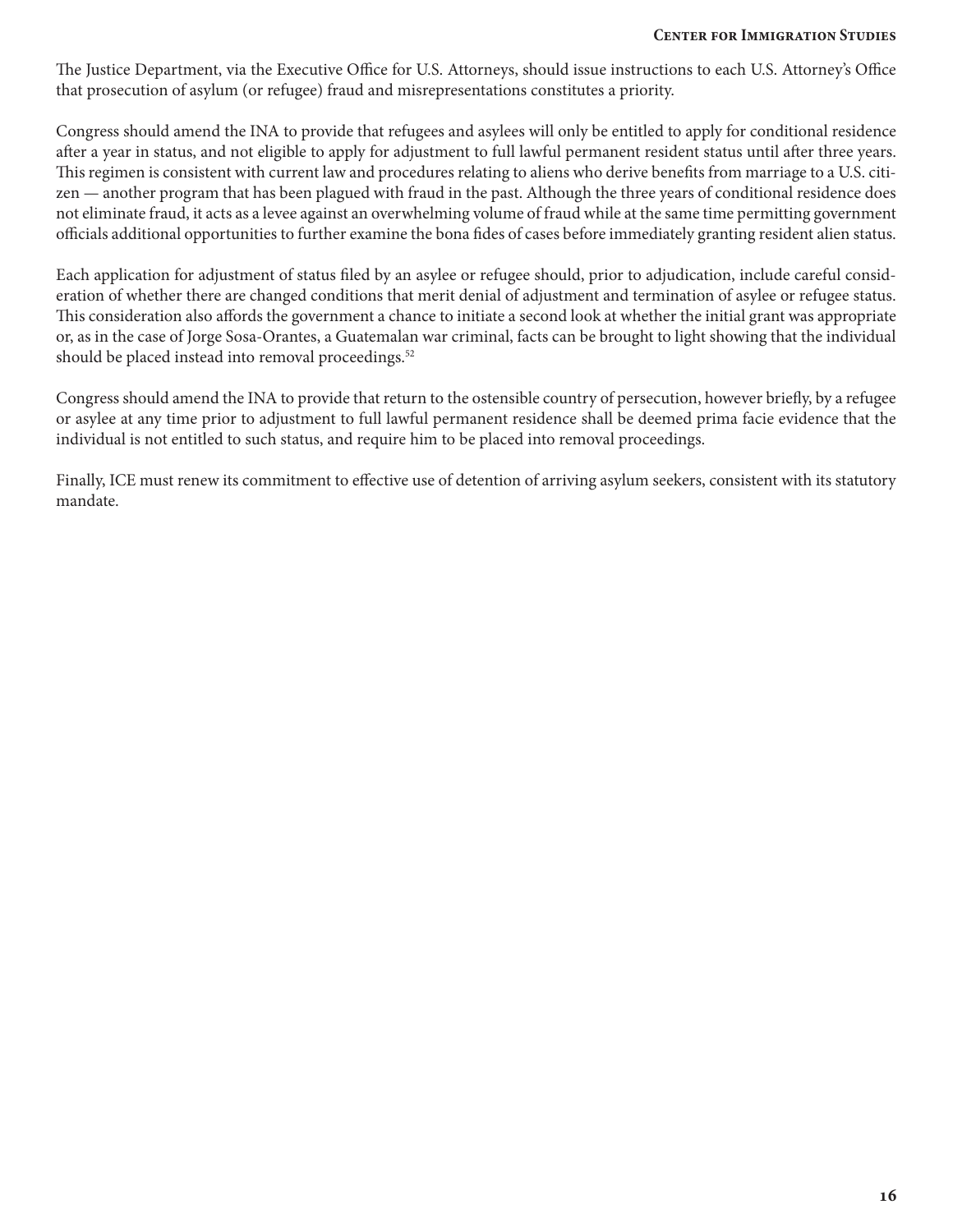The Justice Department, via the Executive Office for U.S. Attorneys, should issue instructions to each U.S. Attorney's Office that prosecution of asylum (or refugee) fraud and misrepresentations constitutes a priority.

Congress should amend the INA to provide that refugees and asylees will only be entitled to apply for conditional residence after a year in status, and not eligible to apply for adjustment to full lawful permanent resident status until after three years. This regimen is consistent with current law and procedures relating to aliens who derive benefits from marriage to a U.S. citizen — another program that has been plagued with fraud in the past. Although the three years of conditional residence does not eliminate fraud, it acts as a levee against an overwhelming volume of fraud while at the same time permitting government officials additional opportunities to further examine the bona fides of cases before immediately granting resident alien status.

Each application for adjustment of status filed by an asylee or refugee should, prior to adjudication, include careful consideration of whether there are changed conditions that merit denial of adjustment and termination of asylee or refugee status. This consideration also affords the government a chance to initiate a second look at whether the initial grant was appropriate or, as in the case of Jorge Sosa-Orantes, a Guatemalan war criminal, facts can be brought to light showing that the individual should be placed instead into removal proceedings.<sup>52</sup>

Congress should amend the INA to provide that return to the ostensible country of persecution, however briefly, by a refugee or asylee at any time prior to adjustment to full lawful permanent residence shall be deemed prima facie evidence that the individual is not entitled to such status, and require him to be placed into removal proceedings.

Finally, ICE must renew its commitment to effective use of detention of arriving asylum seekers, consistent with its statutory mandate.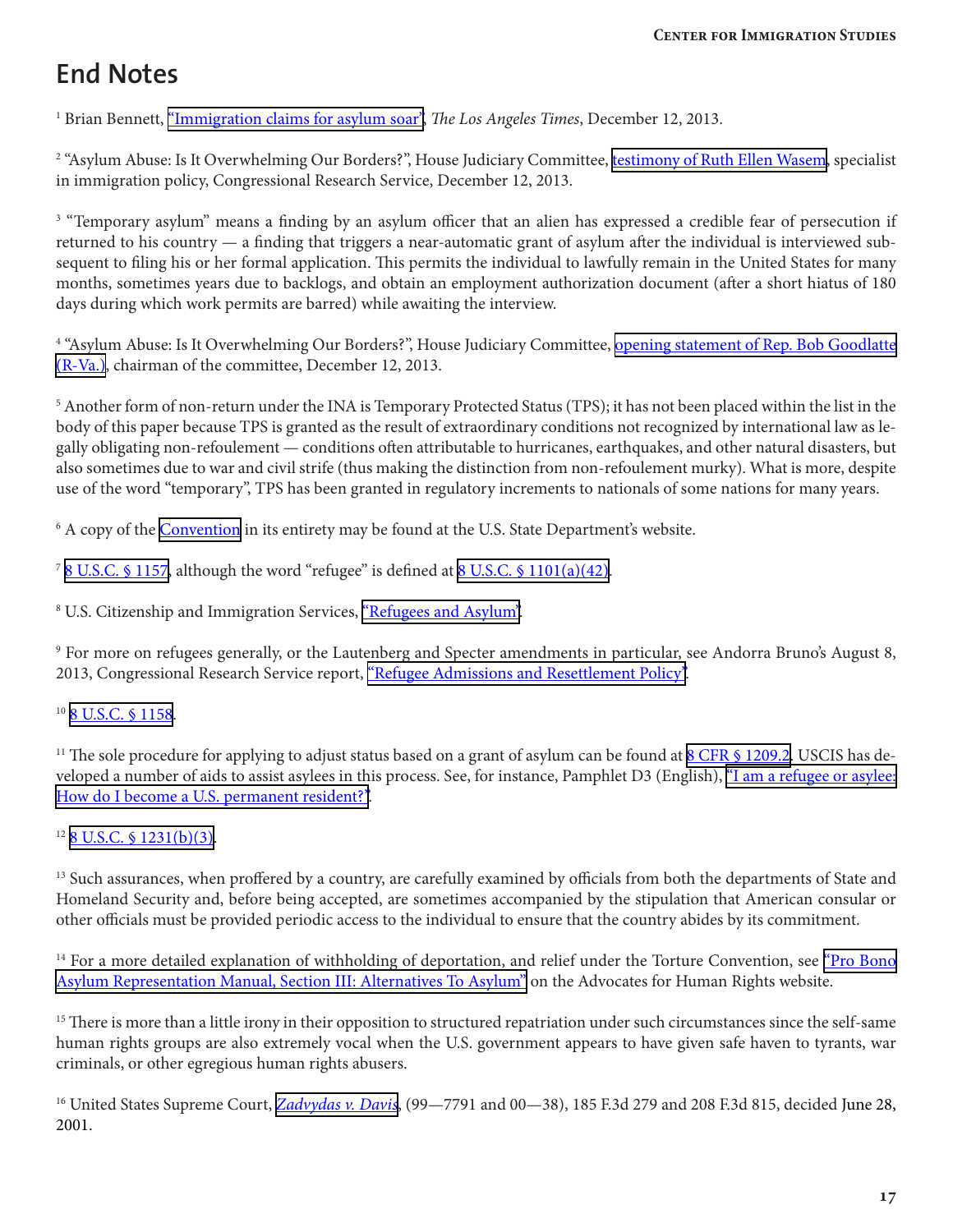## **End Notes**

<sup>1</sup> Brian Bennett, <u>["Immigration claims for asylum soar",](http://www.latimes.com/nation/politics/politicsnow/la-pn-immigration-asylum-claims-soar-20131212,0,1306964.story#axzz2uMBHBUZx)</u> *The Los Angeles Times*, December 12, 2013.

<sup>2</sup> "Asylum Abuse: Is It Overwhelming Our Borders?", House Judiciary Committee, <u>testimony of Ruth Ellen Wasem</u>, specialist in immigration policy, Congressional Research Service, December 12, 2013.

<sup>3</sup> "Temporary asylum" means a finding by an asylum officer that an alien has expressed a credible fear of persecution if returned to his country — a finding that triggers a near-automatic grant of asylum after the individual is interviewed subsequent to filing his or her formal application. This permits the individual to lawfully remain in the United States for many months, sometimes years due to backlogs, and obtain an employment authorization document (after a short hiatus of 180 days during which work permits are barred) while awaiting the interview.

<sup>4</sup> "Asylum Abuse: Is It Overwhelming Our Borders?", House Judiciary Committee, <u>opening statement of Rep. Bob Goodlatte</u> [\(R-Va.\),](http://judiciary.house.gov/index.cfm/hearings?Id=FCA53ADA-367F-4613-B9CB-65732CE4B487&Statement_id=65006558-96AD-4962-BA37-71E4B55E64DF) chairman of the committee, December 12, 2013.

5 Another form of non-return under the INA is Temporary Protected Status (TPS); it has not been placed within the list in the body of this paper because TPS is granted as the result of extraordinary conditions not recognized by international law as legally obligating non-refoulement — conditions often attributable to hurricanes, earthquakes, and other natural disasters, but also sometimes due to war and civil strife (thus making the distinction from non-refoulement murky). What is more, despite use of the word "temporary", TPS has been granted in regulatory increments to nationals of some nations for many years.

<sup>6</sup> A copy of the **Convention** in its entirety may be found at the U.S. State Department's website.

<sup>7</sup> [8 U.S.C. § 1157](http://www.law.cornell.edu/uscode/text/8/1157), although the word "refugee" is defined at [8 U.S.C. § 1101\(a\)\(42\)](http://www.law.cornell.edu/uscode/text/8/1101#a_42).

<sup>8</sup> U.S. Citizenship and Immigration Services, ["Refugees and Asylum".](http://www.uscis.gov/humanitarian/refugees-asylum)

 $^9$  For more on refugees generally, or the Lautenberg and Specter amendments in particular, see Andorra Bruno's August 8, 2013, Congressional Research Service report, ["Refugee Admissions and Resettlement Policy".](https://www.fas.org/sgp/crs/misc/RL31269.pdf)

#### <sup>10</sup> [8 U.S.C. § 1158](http://www.law.cornell.edu/uscode/text/8/1158).

<sup>11</sup> The sole procedure for applying to adjust status based on a grant of asylum can be found at  $8$  CFR  $\frac{6}{1209.2}$ . USCIS has developed a number of aids to assist asylees in this process. See, for instance, Pamphlet D3 (English), ["I am a refugee or asylee:](http://www.uscis.gov/sites/default/files/USCIS/Resources/D3en.pdf)  [How do I become a U.S. permanent resident?".](http://www.uscis.gov/sites/default/files/USCIS/Resources/D3en.pdf)

 $12$  [8 U.S.C. § 1231\(b\)\(3\)](http://www.law.cornell.edu/uscode/text/8/1231).

<sup>13</sup> Such assurances, when proffered by a country, are carefully examined by officials from both the departments of State and Homeland Security and, before being accepted, are sometimes accompanied by the stipulation that American consular or other officials must be provided periodic access to the individual to ensure that the country abides by its commitment.

<sup>14</sup> For a more detailed explanation of withholding of deportation, and relief under the Torture Convention, see *Pro Bono* [Asylum Representation Manual, Section III: Alternatives To Asylum"](http://www.theadvocatesforhumanrights.org/uploads/section_iii_alternatives_to_asylum.pdf) on the Advocates for Human Rights website.

<sup>15</sup> There is more than a little irony in their opposition to structured repatriation under such circumstances since the self-same human rights groups are also extremely vocal when the U.S. government appears to have given safe haven to tyrants, war criminals, or other egregious human rights abusers.

16 United States Supreme Court, *[Zadvydas v. Davis](http://www.law.cornell.edu/supct/html/99-7791.ZO.html)*, (99—7791 and 00—38), 185 F.3d 279 and 208 F.3d 815, decided June 28, 2001.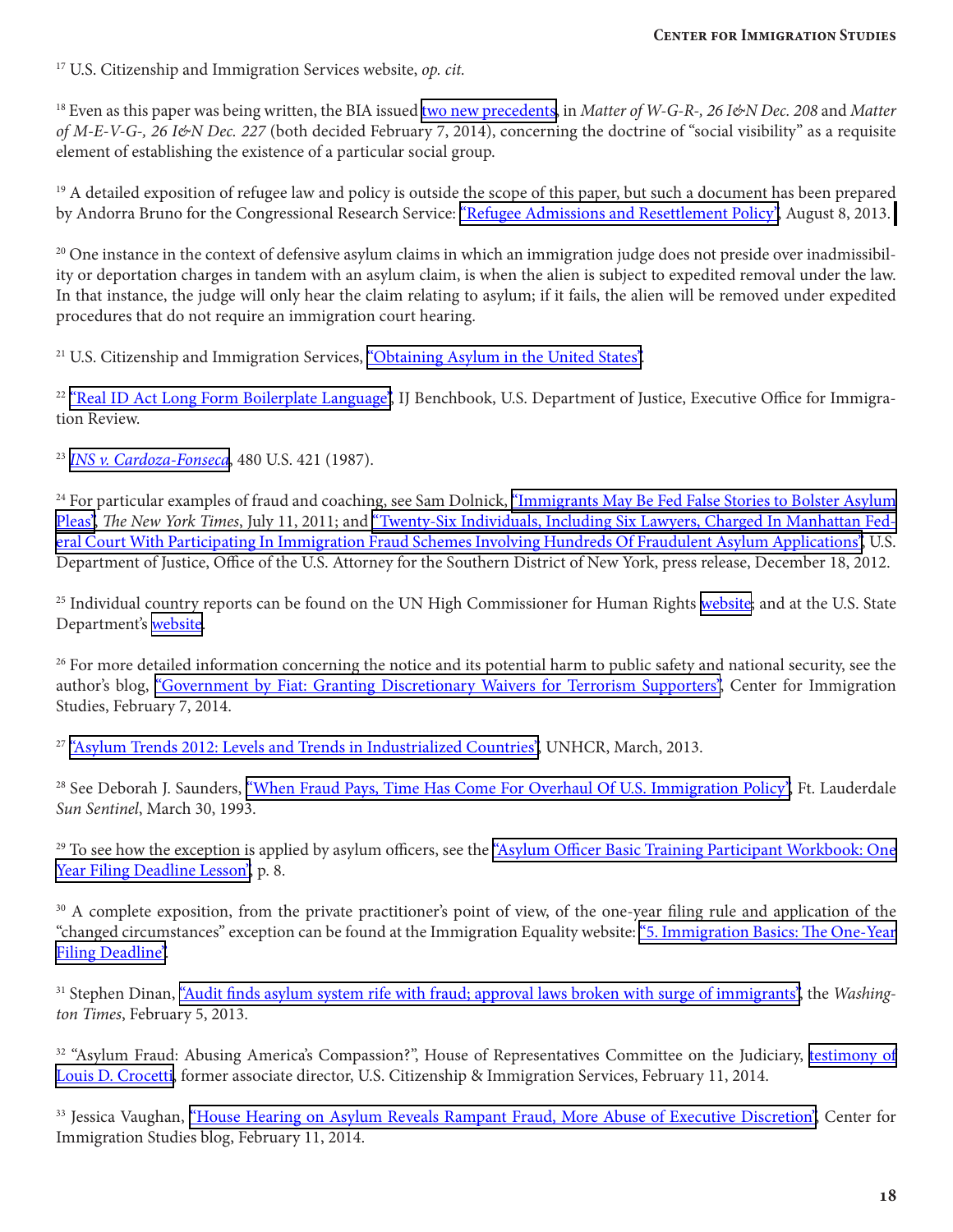17 U.S. Citizenship and Immigration Services website, *op. cit.*

18 Even as this paper was being written, the BIA issued [two new precedents](http://www.lexisnexis.com/legalnewsroom/immigration/b/insidenews/archive/2014/02/07/new-bia-precedent-decisions-on-social-group-social-visibility.aspx), in *Matter of W-G-R-, 26 I&N Dec. 208* and *Matter of M-E-V-G-, 26 I&N Dec. 227* (both decided February 7, 2014), concerning the doctrine of "social visibility" as a requisite element of establishing the existence of a particular social group.

 $19$  A detailed exposition of refugee law and policy is outside the scope of this paper, but such a document has been prepared by Andorra Bruno for the Congressional Research Service: ["Refugee Admissions and Resettlement Policy",](https://www.fas.org/sgp/crs/misc/RL31269.pdf)August 8, 2013.

 $20$  One instance in the context of defensive asylum claims in which an immigration judge does not preside over inadmissibility or deportation charges in tandem with an asylum claim, is when the alien is subject to expedited removal under the law. In that instance, the judge will only hear the claim relating to asylum; if it fails, the alien will be removed under expedited procedures that do not require an immigration court hearing.

<sup>21</sup> U.S. Citizenship and Immigration Services, ["Obtaining Asylum in the United States".](http://www.uscis.gov/humanitarian/refugees-asylum/asylum/obtaining-asylum-united-states)

<sup>22</sup> ["Real ID Act Long Form Boilerplate Language",](http://www.justice.gov/eoir/vll/benchbook/resources/sfoutline/Long%20Form%20Boilerplate.htm) IJ Benchbook, U.S. Department of Justice, Executive Office for Immigration Review.

<sup>23</sup> *[INS v. Cardoza-Fonseca](http://supreme.justia.com/cases/federal/us/480/421/case.html)*, 480 U.S. 421 (1987).

<sup>24</sup> For particular examples of fraud and coaching, see Sam Dolnick, ["Immigrants May Be Fed False Stories to Bolster Asylum](http://www.nytimes.com/2011/07/12/nyregion/immigrants-may-be-fed-false-stories-to-bolster-asylum-pleas.html) [Pleas",](http://www.nytimes.com/2011/07/12/nyregion/immigrants-may-be-fed-false-stories-to-bolster-asylum-pleas.html) *The New York Times*, July 11, 2011; and ["Twenty-Six Individuals, Including Six Lawyers, Charged In Manhattan Fed](http://www.justice.gov/usao/nys/pressreleases/December12/AsylumFraudChargesPR.php)[eral Court With Participating In Immigration Fraud Schemes Involving Hundreds Of Fraudulent Asylum Applications",](http://www.justice.gov/usao/nys/pressreleases/December12/AsylumFraudChargesPR.php) U.S. Department of Justice, Office of the U.S. Attorney for the Southern District of New York, press release, December 18, 2012.

<sup>25</sup> Individual country reports can be found on the UN High Commissioner for Human Rights [website;](http://uhri.ohchr.org/en) and at the U.S. State Department's [website.](http://www.state.gov/j/drl/rls/hrrpt/humanrightsreport/#wrapper)

<sup>26</sup> For more detailed information concerning the notice and its potential harm to public safety and national security, see the author's blog, ["Government by Fiat: Granting Discretionary Waivers for Terrorism Supporters",](http://cis.org/cadman/government-fiat-granting-discretionary-waivers-terrorism-supporters) Center for Immigration Studies, February 7, 2014.

<sup>27</sup> ["Asylum Trends 2012: Levels and Trends in Industrialized Countries",](http://www.unhcr.org/5149b81e9.html) UNHCR, March, 2013.

<sup>28</sup> See Deborah J. Saunders, ["When Fraud Pays, Time Has Come For Overhaul Of U.S. Immigration Policy"](http://articles.sun-sentinel.com/1993-03-30/news/9302020863_1_american-immigration-reform-border-patrol-asylum), Ft. Lauderdale *Sun Sentinel*, March 30, 1993.

<sup>29</sup> To see how the exception is applied by asylum officers, see the "Asylum Officer Basic Training Participant Workbook: One [Year Filing Deadline Lesson"](http://www.uscis.gov/sites/default/files/USCIS/Humanitarian/Refugees%20%26%20Asylum/Asylum/AOBTC%20Lesson%20Plans/One-Year-Filing-Deadline-31aug10.pdf), p. 8.

<sup>30</sup> A complete exposition, from the private practitioner's point of view, of the one-year filing rule and application of the "changed circumstances" exception can be found at the Immigration Equality website: ["5. Immigration Basics: The One-Year](http://immigrationequality.org/issues/law-library/lgbth-asylum-manual/one-year-deadline/)  [Filing Deadline"](http://immigrationequality.org/issues/law-library/lgbth-asylum-manual/one-year-deadline/).

31 Stephen Dinan, ["Audit finds asylum system rife with fraud; approval laws broken with surge of immigrants",](http://www.washingtontimes.com/news/2014/feb/5/audit-finds-asylum-system-rife-with-fraud/?page=1) the *Washington Times*, February 5, 2013.

<sup>32</sup> "Asylum Fraud: Abusing America's Compassion?", House of Representatives Committee on the Judiciary, [testimony of](http://judiciary.house.gov/_cache/files/aea7ea4f-7974-4181-9798-7654f3fe901a/crocetti-house-judiciary-asylum-fraud-testimony-final-2-7-14.pdf) [Louis D. Crocetti](http://judiciary.house.gov/_cache/files/aea7ea4f-7974-4181-9798-7654f3fe901a/crocetti-house-judiciary-asylum-fraud-testimony-final-2-7-14.pdf), former associate director, U.S. Citizenship & Immigration Services, February 11, 2014.

<sup>33</sup> Jessica Vaughan, ["House Hearing on Asylum Reveals Rampant Fraud, More Abuse of Executive Discretion"](http://cis.org/vaughan/house-hearing-asylum-reveals-rampant-fraud-more-abuse-executive-discretion), Center for Immigration Studies blog, February 11, 2014.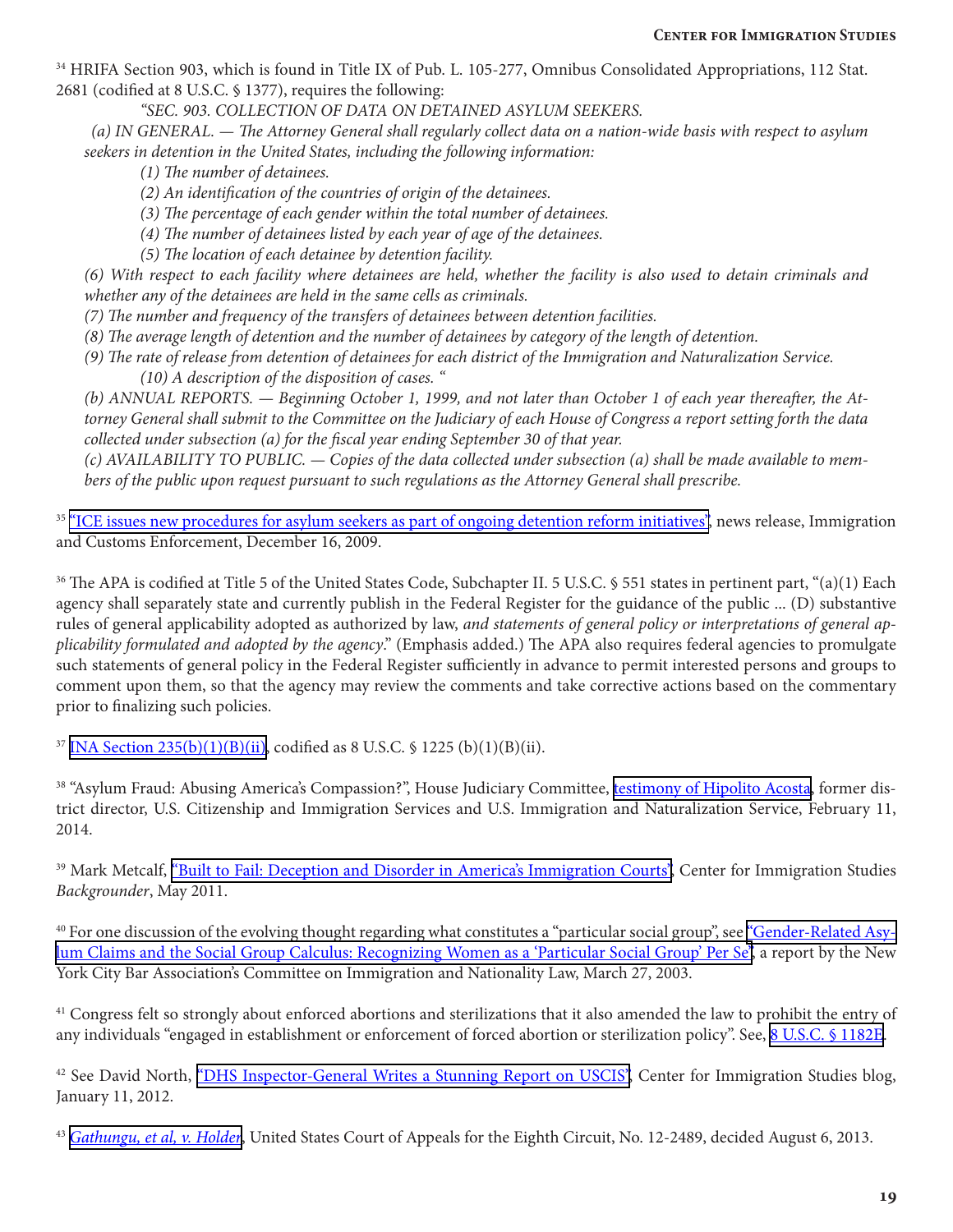34 HRIFA Section 903, which is found in Title IX of Pub. L. 105-277, Omnibus Consolidated Appropriations, 112 Stat. 2681 (codified at 8 U.S.C. § 1377), requires the following:

*"SEC. 903. COLLECTION OF DATA ON DETAINED ASYLUM SEEKERS.* 

*(a) IN GENERAL. — The Attorney General shall regularly collect data on a nation-wide basis with respect to asylum seekers in detention in the United States, including the following information:* 

*(1) The number of detainees.* 

- *(2) An identification of the countries of origin of the detainees.*
- *(3) The percentage of each gender within the total number of detainees.*
- *(4) The number of detainees listed by each year of age of the detainees.*
- *(5) The location of each detainee by detention facility.*

*(6) With respect to each facility where detainees are held, whether the facility is also used to detain criminals and whether any of the detainees are held in the same cells as criminals.* 

- *(7) The number and frequency of the transfers of detainees between detention facilities.*
- *(8) The average length of detention and the number of detainees by category of the length of detention.*
- *(9) The rate of release from detention of detainees for each district of the Immigration and Naturalization Service.* 
	- *(10) A description of the disposition of cases. "*

*(b) ANNUAL REPORTS. — Beginning October 1, 1999, and not later than October 1 of each year thereafter, the Attorney General shall submit to the Committee on the Judiciary of each House of Congress a report setting forth the data collected under subsection (a) for the fiscal year ending September 30 of that year.* 

*(c) AVAILABILITY TO PUBLIC. — Copies of the data collected under subsection (a) shall be made available to members of the public upon request pursuant to such regulations as the Attorney General shall prescribe.*

<sup>35</sup> ["ICE issues new procedures for asylum seekers as part of ongoing detention reform initiatives"](http://www.ice.gov/news/releases/0912/091216washington.htm), news release, Immigration and Customs Enforcement, December 16, 2009.

<sup>36</sup> The APA is codified at Title 5 of the United States Code, Subchapter II. 5 U.S.C. § 551 states in pertinent part, "(a)(1) Each agency shall separately state and currently publish in the Federal Register for the guidance of the public ... (D) substantive rules of general applicability adopted as authorized by law, *and statements of general policy or interpretations of general applicability formulated and adopted by the agency*." (Emphasis added.) The APA also requires federal agencies to promulgate such statements of general policy in the Federal Register sufficiently in advance to permit interested persons and groups to comment upon them, so that the agency may review the comments and take corrective actions based on the commentary prior to finalizing such policies.

<sup>37</sup> INA Section  $235(b)(1)(B)(ii)$ , codified as 8 U.S.C. § 1225 (b)(1)(B)(ii).

<sup>38</sup> "Asylum Fraud: Abusing America's Compassion?", House Judiciary Committee, [testimony of Hipolito Acosta](http://judiciary.house.gov/_cache/files/cf62c097-1d69-43aa-b4a0-cec7fbf4ca21/hipolitoacostafinaltestimony.pdf), former district director, U.S. Citizenship and Immigration Services and U.S. Immigration and Naturalization Service, February 11, 2014.

<sup>39</sup> Mark Metcalf, ["Built to Fail: Deception and Disorder in America's Immigration Courts"](http://cis.org/Immigration-Courts), Center for Immigration Studies *Backgrounder*, May 2011.

<sup>40</sup> For one discussion of the evolving thought regarding what constitutes a "particular social group", see <u>"Gender-Related Asy-</u> [lum Claims and the Social Group Calculus: Recognizing Women as a 'Particular Social Group' Per Se"](http://www.nycbar.org/pdf/report/FINAL%20%20Gender%20Related%20Asylum%20Claims.pdf), a report by the New York City Bar Association's Committee on Immigration and Nationality Law, March 27, 2003.

<sup>41</sup> Congress felt so strongly about enforced abortions and sterilizations that it also amended the law to prohibit the entry of any individuals "engaged in establishment or enforcement of forced abortion or sterilization policy". See, [8 U.S.C. § 1182E.](http://www.law.cornell.edu/uscode/text/8/1182e)

<sup>42</sup> See David North, ["DHS Inspector-General Writes a Stunning Report on USCIS"](http://www.cis.org/north/DHS-IG-writes-stunning-report-on-USCIS), Center for Immigration Studies blog, January 11, 2012.

<sup>43</sup> *[Gathungu, et al, v. Holder](http://media.ca8.uscourts.gov/opndir/13/08/122489P.pdf)*, United States Court of Appeals for the Eighth Circuit, No. 12-2489, decided August 6, 2013.